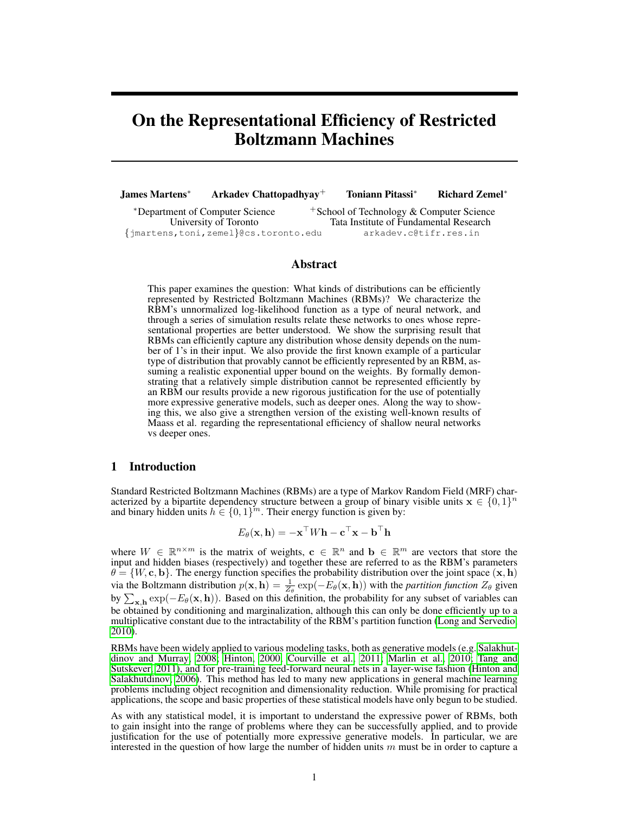# On the Representational Efficiency of Restricted Boltzmann Machines

James Martens<sup>∗</sup> Arkadev Chattopadhyay<sup>+</sup> Toniann Pitassi<sup>∗</sup> Richard Zemel<sup>∗</sup>

<sup>∗</sup>Department of Computer Science <sup>+</sup>School of Technology & Computer Science Tata Institute of Fundamental Research {jmartens,toni,zemel}@cs.toronto.edu arkadev.c@tifr.res.in

# Abstract

This paper examines the question: What kinds of distributions can be efficiently represented by Restricted Boltzmann Machines (RBMs)? We characterize the RBM's unnormalized log-likelihood function as a type of neural network, and through a series of simulation results relate these networks to ones whose representational properties are better understood. We show the surprising result that RBMs can efficiently capture any distribution whose density depends on the number of 1's in their input. We also provide the first known example of a particular type of distribution that provably cannot be efficiently represented by an RBM, assuming a realistic exponential upper bound on the weights. By formally demonstrating that a relatively simple distribution cannot be represented efficiently by an RBM our results provide a new rigorous justification for the use of potentially more expressive generative models, such as deeper ones. Along the way to showing this, we also give a strengthen version of the existing well-known results of Maass et al. regarding the representational efficiency of shallow neural networks vs deeper ones.

# 1 Introduction

Standard Restricted Boltzmann Machines (RBMs) are a type of Markov Random Field (MRF) characterized by a bipartite dependency structure between a group of binary visible units  $\mathbf{x} \in \{0,1\}^n$ and binary hidden units  $h \in \{0,1\}^m$ . Their energy function is given by:

 $E_{\theta}(\mathbf{x}, \mathbf{h}) = -\mathbf{x}^\top W \mathbf{h} - \mathbf{c}^\top \mathbf{x} - \mathbf{b}^\top \mathbf{h}$ 

where  $W \in \mathbb{R}^{n \times m}$  is the matrix of weights,  $\mathbf{c} \in \mathbb{R}^n$  and  $\mathbf{b} \in \mathbb{R}^m$  are vectors that store the input and hidden biases (respectively) and together these are referred to as the RBM's parameters  $\theta = \{W, c, b\}$ . The energy function specifies the probability distribution over the joint space  $(x, h)$ via the Boltzmann distribution  $p(x, h) = \frac{1}{Z_{\theta}} \exp(-E_{\theta}(x, h))$  with the *partition function*  $Z_{\theta}$  given by  $\sum_{\mathbf{x},\mathbf{h}} \exp(-E_{\theta}(\mathbf{x}, \mathbf{h}))$ . Based on this definition, the probability for any subset of variables can be obtained by conditioning and marginalization, although this can only be done efficiently up to a multiplicative constant due to the intractability of the RBM's partition function [\(Long and Servedio,](#page-8-0) [2010\)](#page-8-0).

RBMs have been widely applied to various modeling tasks, both as generative models (e.g. [Salakhut](#page-9-0)[dinov and Murray, 2008;](#page-9-0) [Hinton, 2000;](#page-8-1) [Courville et al., 2011;](#page-8-2) [Marlin et al., 2010;](#page-8-3) [Tang and](#page-9-1) [Sutskever, 2011\)](#page-9-1), and for pre-training feed-forward neural nets in a layer-wise fashion [\(Hinton and](#page-8-4) [Salakhutdinov, 2006\)](#page-8-4). This method has led to many new applications in general machine learning problems including object recognition and dimensionality reduction. While promising for practical applications, the scope and basic properties of these statistical models have only begun to be studied.

As with any statistical model, it is important to understand the expressive power of RBMs, both to gain insight into the range of problems where they can be successfully applied, and to provide justification for the use of potentially more expressive generative models. In particular, we are interested in the question of how large the number of hidden units  $m$  must be in order to capture a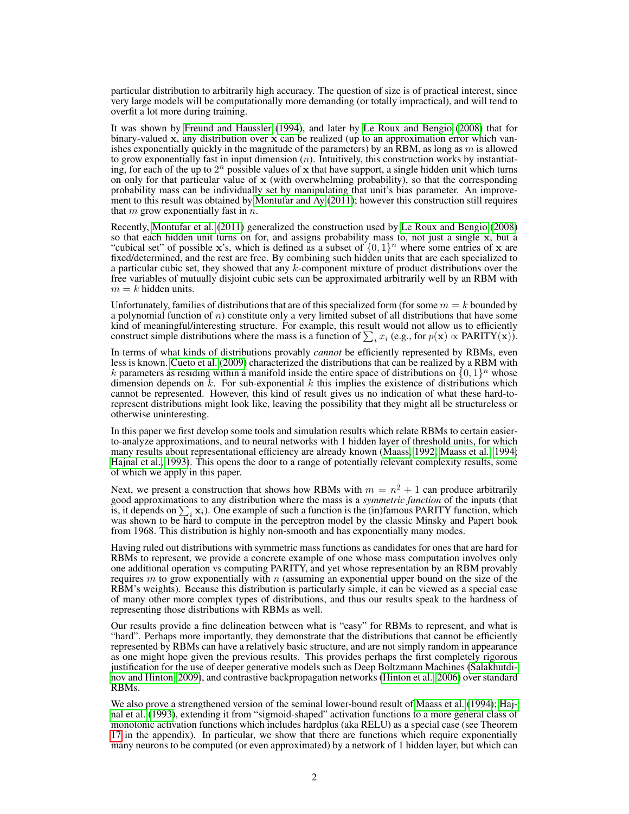particular distribution to arbitrarily high accuracy. The question of size is of practical interest, since very large models will be computationally more demanding (or totally impractical), and will tend to overfit a lot more during training.

It was shown by [Freund and Haussler](#page-8-5) [\(1994\)](#page-8-5), and later by [Le Roux and Bengio](#page-8-6) [\(2008\)](#page-8-6) that for binary-valued x, any distribution over x can be realized (up to an approximation error which vanishes exponentially quickly in the magnitude of the parameters) by an RBM, as long as  $m$  is allowed to grow exponentially fast in input dimension  $(n)$ . Intuitively, this construction works by instantiating, for each of the up to  $2^n$  possible values of x that have support, a single hidden unit which turns on only for that particular value of  $x$  (with overwhelming probability), so that the corresponding probability mass can be individually set by manipulating that unit's bias parameter. An improvement to this result was obtained by [Montufar and Ay](#page-8-7) [\(2011\)](#page-8-7); however this construction still requires that  $m$  grow exponentially fast in  $n$ .

Recently, [Montufar et al.](#page-8-8) [\(2011\)](#page-8-8) generalized the construction used by [Le Roux and Bengio](#page-8-6) [\(2008\)](#page-8-6) so that each hidden unit turns on for, and assigns probability mass to, not just a single x, but a "cubical set" of possible x's, which is defined as a subset of  $\{0, 1\}^n$  where some entries of x are fixed/determined, and the rest are free. By combining such hidden units that are each specialized to a particular cubic set, they showed that any k-component mixture of product distributions over the free variables of mutually disjoint cubic sets can be approximated arbitrarily well by an RBM with  $m = k$  hidden units.

Unfortunately, families of distributions that are of this specialized form (for some  $m = k$  bounded by a polynomial function of  $n$ ) constitute only a very limited subset of all distributions that have some kind of meaningful/interesting structure. For example, this result would not allow us to efficiently construct simple distributions where the mass is a function of  $\sum_i x_i$  (e.g., for  $p(\mathbf{x}) \propto \text{PARTY}(\mathbf{x})$ ).

In terms of what kinds of distributions provably *cannot* be efficiently represented by RBMs, even less is known. [Cueto et al.](#page-8-9) [\(2009\)](#page-8-9) characterized the distributions that can be realized by a RBM with k parameters as residing within a manifold inside the entire space of distributions on  $\{0,1\}^n$  whose dimension depends on  $k$ . For sub-exponential  $k$  this implies the existence of distributions which cannot be represented. However, this kind of result gives us no indication of what these hard-torepresent distributions might look like, leaving the possibility that they might all be structureless or otherwise uninteresting.

In this paper we first develop some tools and simulation results which relate RBMs to certain easierto-analyze approximations, and to neural networks with 1 hidden layer of threshold units, for which many results about representational efficiency are already known [\(Maass, 1992;](#page-8-10) [Maass et al., 1994;](#page-8-11) [Hajnal et al., 1993\)](#page-8-12). This opens the door to a range of potentially relevant complexity results, some of which we apply in this paper.

Next, we present a construction that shows how RBMs with  $m = n^2 + 1$  can produce arbitrarily good approximations to any distribution where the mass is a *symmetric function* of the inputs (that is, it depends on  $\sum_i \mathbf{x}_i$ ). One example of such a function is the (in)famous PARITY function, which was shown to be hard to compute in the perceptron model by the classic Minsky and Papert book from 1968. This distribution is highly non-smooth and has exponentially many modes.

Having ruled out distributions with symmetric mass functions as candidates for ones that are hard for RBMs to represent, we provide a concrete example of one whose mass computation involves only one additional operation vs computing PARITY, and yet whose representation by an RBM provably requires  $m$  to grow exponentially with  $n$  (assuming an exponential upper bound on the size of the RBM's weights). Because this distribution is particularly simple, it can be viewed as a special case of many other more complex types of distributions, and thus our results speak to the hardness of representing those distributions with RBMs as well.

Our results provide a fine delineation between what is "easy" for RBMs to represent, and what is "hard". Perhaps more importantly, they demonstrate that the distributions that cannot be efficiently represented by RBMs can have a relatively basic structure, and are not simply random in appearance as one might hope given the previous results. This provides perhaps the first completely rigorous justification for the use of deeper generative models such as Deep Boltzmann Machines [\(Salakhutdi](#page-8-13)[nov and Hinton, 2009\)](#page-8-13), and contrastive backpropagation networks [\(Hinton et al., 2006\)](#page-8-14) over standard RBMs.

We also prove a strengthened version of the seminal lower-bound result of [Maass et al.](#page-8-11) [\(1994\)](#page-8-11); [Haj](#page-8-12)[nal et al.](#page-8-12) [\(1993\)](#page-8-12), extending it from "sigmoid-shaped" activation functions to a more general class of monotonic activation functions which includes hardplus (aka RELU) as a special case (see Theorem [17](#page-19-0) in the appendix). In particular, we show that there are functions which require exponentially many neurons to be computed (or even approximated) by a network of 1 hidden layer, but which can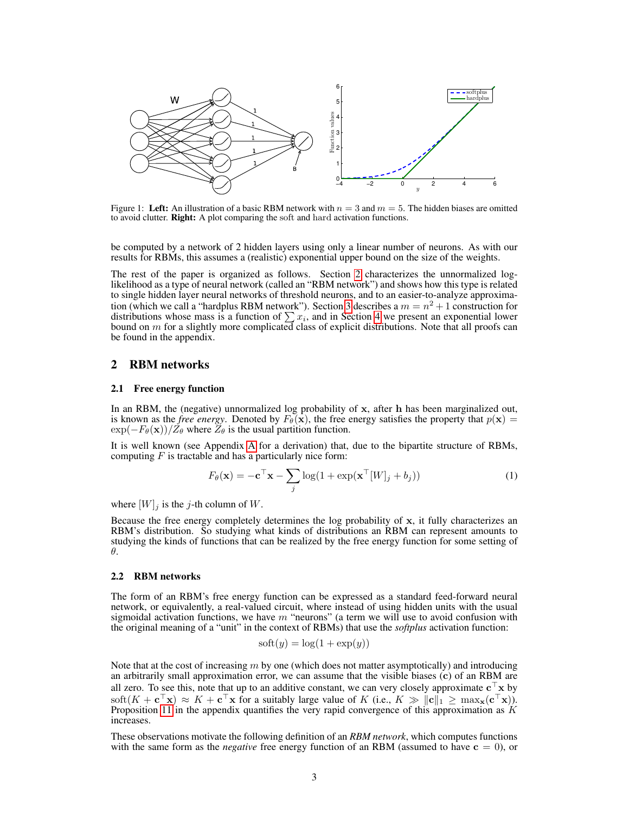<span id="page-2-1"></span>

Figure 1: Left: An illustration of a basic RBM network with  $n = 3$  and  $m = 5$ . The hidden biases are omitted to avoid clutter. Right: A plot comparing the soft and hard activation functions.

be computed by a network of 2 hidden layers using only a linear number of neurons. As with our results for RBMs, this assumes a (realistic) exponential upper bound on the size of the weights.

The rest of the paper is organized as follows. Section [2](#page-2-0) characterizes the unnormalized loglikelihood as a type of neural network (called an "RBM network") and shows how this type is related to single hidden layer neural networks of threshold neurons, and to an easier-to-analyze approxima-tion (which we call a "hardplus RBM network"). Section [3](#page-5-0) describes a  $m = n^2 + 1$  construction for distributions whose mass is a function of  $\sum x_i$ , and in Section [4](#page-6-0) we present an exponential lower bound on  $m$  for a slightly more complicated class of explicit distributions. Note that all proofs can be found in the appendix.

## <span id="page-2-0"></span>2 RBM networks

#### 2.1 Free energy function

In an RBM, the (negative) unnormalized log probability of x, after h has been marginalized out, is known as the *free energy*. Denoted by  $F_{\theta}(\mathbf{x})$ , the free energy satisfies the property that  $p(\mathbf{x}) =$  $\exp(-F_{\theta}(\mathbf{x}))/\tilde{Z}_{\theta}$  where  $\tilde{Z}_{\theta}$  is the usual partition function.

It is well known (see Appendix [A](#page-10-0) for a derivation) that, due to the bipartite structure of RBMs, computing  $F$  is tractable and has a particularly nice form:

$$
F_{\theta}(\mathbf{x}) = -\mathbf{c}^{\top}\mathbf{x} - \sum_{j} \log(1 + \exp(\mathbf{x}^{\top}[W]_{j} + b_{j}))
$$
\n(1)

where  $[W]_j$  is the j-th column of W.

Because the free energy completely determines the log probability of  $x$ , it fully characterizes an RBM's distribution. So studying what kinds of distributions an RBM can represent amounts to studying the kinds of functions that can be realized by the free energy function for some setting of θ.

#### 2.2 RBM networks

The form of an RBM's free energy function can be expressed as a standard feed-forward neural network, or equivalently, a real-valued circuit, where instead of using hidden units with the usual sigmoidal activation functions, we have  $m$  "neurons" (a term we will use to avoid confusion with the original meaning of a "unit" in the context of RBMs) that use the *softplus* activation function:

$$
soft(y) = log(1 + exp(y))
$$

Note that at the cost of increasing  $m$  by one (which does not matter asymptotically) and introducing an arbitrarily small approximation error, we can assume that the visible biases (c) of an RBM are all zero. To see this, note that up to an additive constant, we can very closely approximate  $c^{\top}x$  by soft $(K + c^\top x) \approx K + c^\top x$  for a suitably large value of K (i.e.,  $K \gg ||c||_1 \ge \max_x(c^\top x)$ ). Proposition [11](#page-10-1) in the appendix quantifies the very rapid convergence of this approximation as  $K$ increases.

These observations motivate the following definition of an *RBM network*, which computes functions with the same form as the *negative* free energy function of an RBM (assumed to have  $c = 0$ ), or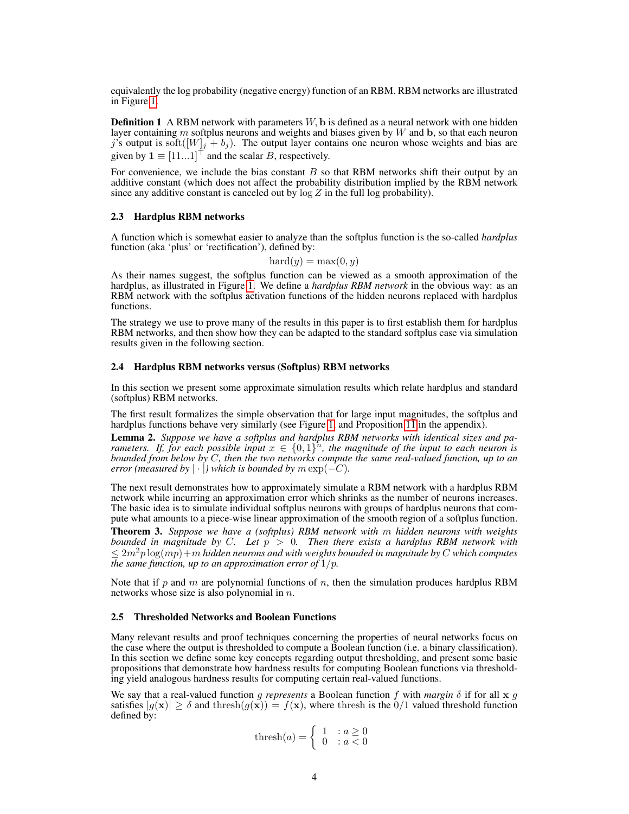equivalently the log probability (negative energy) function of an RBM. RBM networks are illustrated in Figure [1.](#page-2-1)

**Definition 1** A RBM network with parameters  $W$ , b is defined as a neural network with one hidden layer containing m softplus neurons and weights and biases given by  $W$  and  $\mathbf{b}$ , so that each neuron j's output is soft $([W]_j + b_j)$ . The output layer contains one neuron whose weights and bias are given by  $\mathbf{1} \equiv [11...1]^\top$  and the scalar B, respectively.

For convenience, we include the bias constant  $B$  so that RBM networks shift their output by an additive constant (which does not affect the probability distribution implied by the RBM network since any additive constant is canceled out by  $\log Z$  in the full log probability).

#### 2.3 Hardplus RBM networks

A function which is somewhat easier to analyze than the softplus function is the so-called *hardplus* function (aka 'plus' or 'rectification'), defined by:

 $\text{hard}(y) = \max(0, y)$ 

As their names suggest, the softplus function can be viewed as a smooth approximation of the hardplus, as illustrated in Figure [1.](#page-2-1) We define a *hardplus RBM network* in the obvious way: as an RBM network with the softplus activation functions of the hidden neurons replaced with hardplus functions.

The strategy we use to prove many of the results in this paper is to first establish them for hardplus RBM networks, and then show how they can be adapted to the standard softplus case via simulation results given in the following section.

#### <span id="page-3-1"></span>2.4 Hardplus RBM networks versus (Softplus) RBM networks

In this section we present some approximate simulation results which relate hardplus and standard (softplus) RBM networks.

The first result formalizes the simple observation that for large input magnitudes, the softplus and hardplus functions behave very similarly (see Figure [1,](#page-2-1) and Proposition [11](#page-10-1) in the appendix).

<span id="page-3-2"></span>Lemma 2. *Suppose we have a softplus and hardplus RBM networks with identical sizes and parameters.* If, for each possible input  $x \in \{0,1\}^n$ , the magnitude of the input to each neuron is *bounded from below by* C*, then the two networks compute the same real-valued function, up to an error (measured by*  $|\cdot|$ ) which is bounded by  $m \exp(-C)$ .

The next result demonstrates how to approximately simulate a RBM network with a hardplus RBM network while incurring an approximation error which shrinks as the number of neurons increases. The basic idea is to simulate individual softplus neurons with groups of hardplus neurons that compute what amounts to a piece-wise linear approximation of the smooth region of a softplus function.

<span id="page-3-0"></span>Theorem 3. *Suppose we have a (softplus) RBM network with* m *hidden neurons with weights bounded in magnitude by* C*. Let* p > 0*. Then there exists a hardplus RBM network with*  $\leq 2m^2p\log(mp)+m$  *hidden neurons and with weights bounded in magnitude by C which computes the same function, up to an approximation error of* 1/p*.*

Note that if p and m are polynomial functions of n, then the simulation produces hardplus RBM networks whose size is also polynomial in  $n$ .

#### <span id="page-3-3"></span>2.5 Thresholded Networks and Boolean Functions

Many relevant results and proof techniques concerning the properties of neural networks focus on the case where the output is thresholded to compute a Boolean function (i.e. a binary classification). In this section we define some key concepts regarding output thresholding, and present some basic propositions that demonstrate how hardness results for computing Boolean functions via thresholding yield analogous hardness results for computing certain real-valued functions.

We say that a real-valued function g represents a Boolean function f with *margin*  $\delta$  if for all  $x g$ satisfies  $|g(\mathbf{x})| \ge \delta$  and thresh $(g(\mathbf{x})) = f(\mathbf{x})$ , where thresh is the  $0/1$  valued threshold function defined by:

$$
\text{thresh}(a) = \left\{ \begin{array}{ll} 1 & : a \ge 0 \\ 0 & : a < 0 \end{array} \right.
$$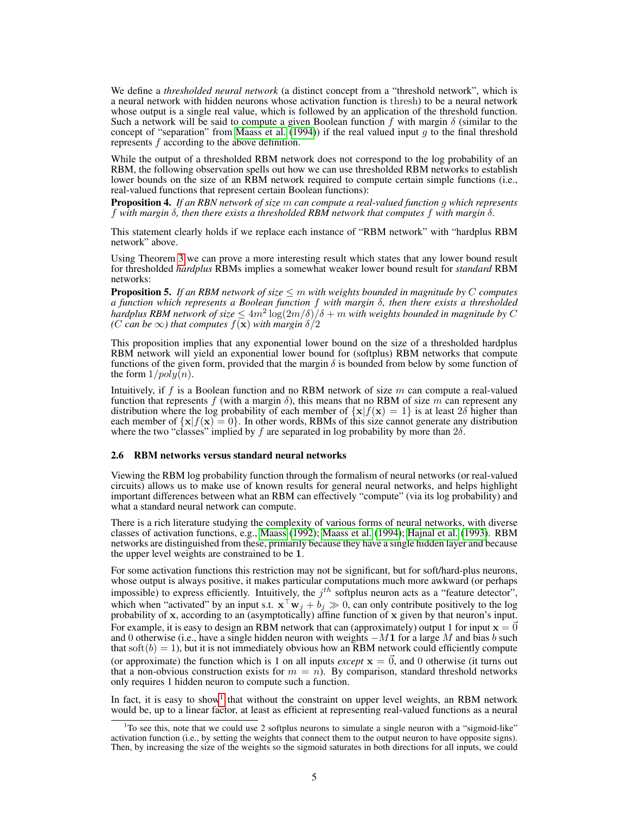We define a *thresholded neural network* (a distinct concept from a "threshold network", which is a neural network with hidden neurons whose activation function is thresh) to be a neural network whose output is a single real value, which is followed by an application of the threshold function. Such a network will be said to compute a given Boolean function f with margin  $\delta$  (similar to the concept of "separation" from [Maass et al.](#page-8-11) [\(1994\)](#page-8-11)) if the real valued input q to the final threshold represents f according to the above definition.

While the output of a thresholded RBM network does not correspond to the log probability of an RBM, the following observation spells out how we can use thresholded RBM networks to establish lower bounds on the size of an RBM network required to compute certain simple functions (i.e., real-valued functions that represent certain Boolean functions):

Proposition 4. *If an RBN network of size* m *can compute a real-valued function* g *which represents* f *with margin* δ*, then there exists a thresholded RBM network that computes* f *with margin* δ*.*

This statement clearly holds if we replace each instance of "RBM network" with "hardplus RBM network" above.

Using Theorem [3](#page-3-0) we can prove a more interesting result which states that any lower bound result for thresholded *hardplus* RBMs implies a somewhat weaker lower bound result for *standard* RBM networks:

<span id="page-4-2"></span>**Proposition 5.** *If an RBM network of size*  $\leq m$  *with weights bounded in magnitude by C computes a function which represents a Boolean function* f *with margin* δ*, then there exists a thresholded hardplus RBM network of size*  $\leq 4m^2 \log(2m/\delta)/\delta + m$  *with weights bounded in magnitude by* C *(C can be*  $\infty$ *) that computes*  $f(\mathbf{x})$  *with margin*  $\delta/2$ 

This proposition implies that any exponential lower bound on the size of a thresholded hardplus RBM network will yield an exponential lower bound for (softplus) RBM networks that compute functions of the given form, provided that the margin  $\delta$  is bounded from below by some function of the form  $1/poly(n)$ .

Intuitively, if f is a Boolean function and no RBM network of size  $m$  can compute a real-valued function that represents f (with a margin  $\delta$ ), this means that no RBM of size m can represent any distribution where the log probability of each member of  ${x|f(x) = 1}$  is at least 2 $\delta$  higher than each member of  $\{x|f(x) = 0\}$ . In other words, RBMs of this size cannot generate any distribution where the two "classes" implied by f are separated in log probability by more than  $2\delta$ .

#### <span id="page-4-1"></span>2.6 RBM networks versus standard neural networks

Viewing the RBM log probability function through the formalism of neural networks (or real-valued circuits) allows us to make use of known results for general neural networks, and helps highlight important differences between what an RBM can effectively "compute" (via its log probability) and what a standard neural network can compute.

There is a rich literature studying the complexity of various forms of neural networks, with diverse classes of activation functions, e.g., [Maass](#page-8-10) [\(1992\)](#page-8-10); [Maass et al.](#page-8-11) [\(1994\)](#page-8-11); [Hajnal et al.](#page-8-12) [\(1993\)](#page-8-12). RBM networks are distinguished from these, primarily because they have a single hidden layer and because the upper level weights are constrained to be 1.

For some activation functions this restriction may not be significant, but for soft/hard-plus neurons, whose output is always positive, it makes particular computations much more awkward (or perhaps impossible) to express efficiently. Intuitively, the  $j<sup>th</sup>$  softplus neuron acts as a "feature detector", which when "activated" by an input s.t.  $\mathbf{x}^T \mathbf{w}_j + b_j \gg 0$ , can only contribute positively to the log probability of x, according to an (asymptotically) affine function of x given by that neuron's input. For example, it is easy to design an RBM network that can (approximately) output 1 for input  $x = 0$ and 0 otherwise (i.e., have a single hidden neuron with weights  $-M1$  for a large M and bias b such that soft $(b) = 1$ ), but it is not immediately obvious how an RBM network could efficiently compute (or approximate) the function which is 1 on all inputs *except*  $x = \vec{0}$ , and 0 otherwise (it turns out that a non-obvious construction exists for  $m = n$ ). By comparison, standard threshold networks only requires 1 hidden neuron to compute such a function.

In fact, it is easy to show<sup>[1](#page-4-0)</sup> that without the constraint on upper level weights, an RBM network would be, up to a linear factor, at least as efficient at representing real-valued functions as a neural

<span id="page-4-0"></span><sup>&</sup>lt;sup>1</sup>To see this, note that we could use 2 softplus neurons to simulate a single neuron with a "sigmoid-like" activation function (i.e., by setting the weights that connect them to the output neuron to have opposite signs). Then, by increasing the size of the weights so the sigmoid saturates in both directions for all inputs, we could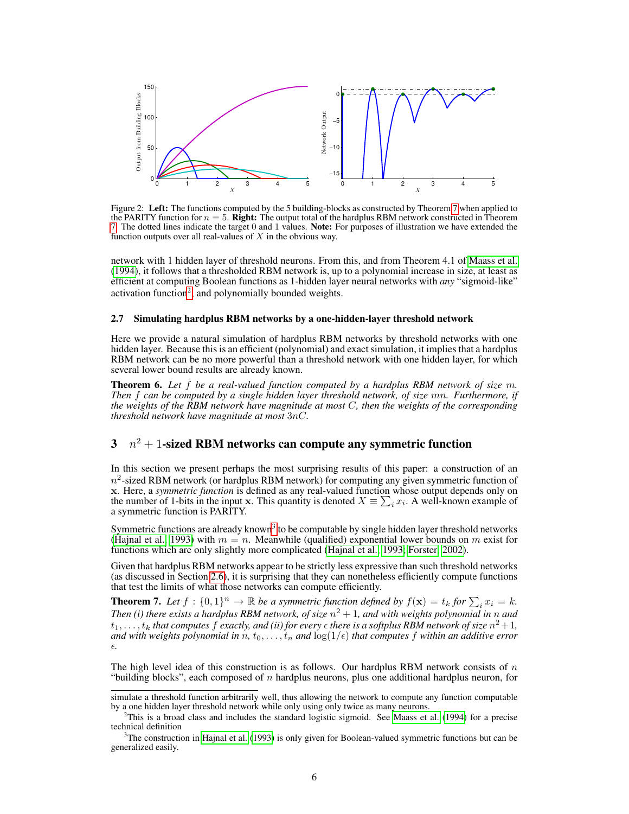<span id="page-5-4"></span>

Figure 2: Left: The functions computed by the 5 building-blocks as constructed by Theorem [7](#page-5-1) when applied to the PARITY function for  $n = 5$ . Right: The output total of the hardplus RBM network constructed in Theorem [7.](#page-5-1) The dotted lines indicate the target 0 and 1 values. Note: For purposes of illustration we have extended the function outputs over all real-values of  $X$  in the obvious way.

network with 1 hidden layer of threshold neurons. From this, and from Theorem 4.1 of [Maass et al.](#page-8-11) [\(1994\)](#page-8-11), it follows that a thresholded RBM network is, up to a polynomial increase in size, at least as efficient at computing Boolean functions as 1-hidden layer neural networks with *any* "sigmoid-like" activation function<sup>[2](#page-5-2)</sup>, and polynomially bounded weights.

#### <span id="page-5-6"></span>2.7 Simulating hardplus RBM networks by a one-hidden-layer threshold network

Here we provide a natural simulation of hardplus RBM networks by threshold networks with one hidden layer. Because this is an efficient (polynomial) and exact simulation, it implies that a hardplus RBM network can be no more powerful than a threshold network with one hidden layer, for which several lower bound results are already known.

<span id="page-5-5"></span>Theorem 6. *Let* f *be a real-valued function computed by a hardplus RBM network of size* m*. Then* f *can be computed by a single hidden layer threshold network, of size* mn*. Furthermore, if the weights of the RBM network have magnitude at most* C*, then the weights of the corresponding threshold network have magnitude at most* 3nC*.*

# <span id="page-5-0"></span> $3\quad n^2+1$ -sized RBM networks can compute any symmetric function

In this section we present perhaps the most surprising results of this paper: a construction of an  $n^2$ -sized RBM network (or hardplus RBM network) for computing any given symmetric function of x. Here, a *symmetric function* is defined as any real-valued function whose output depends only on the number of 1-bits in the input x. This quantity is denoted  $X = \sum_i x_i$ . A well-known example of a symmetric function is PARITY.

Symmetric functions are already known<sup>[3](#page-5-3)</sup> to be computable by single hidden layer threshold networks [\(Hajnal et al., 1993\)](#page-8-12) with  $m = n$ . Meanwhile (qualified) exponential lower bounds on m exist for functions which are only slightly more complicated [\(Hajnal et al., 1993;](#page-8-12) [Forster, 2002\)](#page-8-15).

Given that hardplus RBM networks appear to be strictly less expressive than such threshold networks (as discussed in Section [2.6\)](#page-4-1), it is surprising that they can nonetheless efficiently compute functions that test the limits of what those networks can compute efficiently.

<span id="page-5-1"></span>**Theorem 7.** Let  $f : \{0,1\}^n \to \mathbb{R}$  be a symmetric function defined by  $f(\mathbf{x}) = t_k$  for  $\sum_i x_i = k$ . Then (i) there exists a hardplus RBM network, of size  $n^2 + 1$ , and with weights polynomial in  $n$  and  $t_1,\ldots,t_k$  that computes  $f$  exactly, and (ii) for every  $\epsilon$  there is a softplus RBM network of size  $n^2+1,$ *and with weights polynomial in*  $n, t_0, \ldots, t_n$  *and*  $\log(1/\epsilon)$  *that computes* f *within an additive error .*

The high level idea of this construction is as follows. Our hardplus RBM network consists of  $n$ "building blocks", each composed of  $n$  hardplus neurons, plus one additional hardplus neuron, for

simulate a threshold function arbitrarily well, thus allowing the network to compute any function computable by a one hidden layer threshold network while only using only twice as many neurons.

<span id="page-5-2"></span><sup>&</sup>lt;sup>2</sup>This is a broad class and includes the standard logistic sigmoid. See [Maass et al.](#page-8-11) [\(1994\)](#page-8-11) for a precise technical definition

<span id="page-5-3"></span><sup>&</sup>lt;sup>3</sup>The construction in [Hajnal et al.](#page-8-12) [\(1993\)](#page-8-12) is only given for Boolean-valued symmetric functions but can be generalized easily.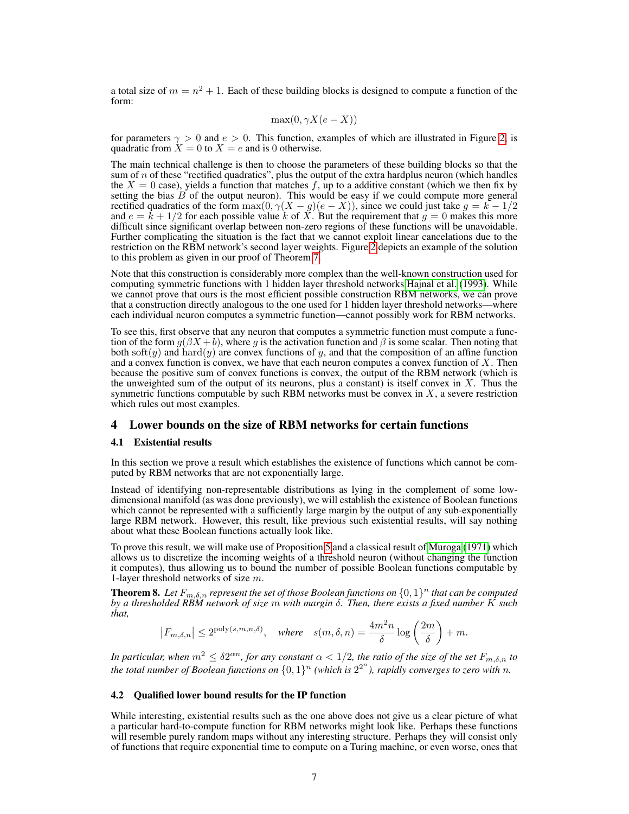a total size of  $m = n^2 + 1$ . Each of these building blocks is designed to compute a function of the form:

$$
\max(0, \gamma X(e - X))
$$

for parameters  $\gamma > 0$  and  $e > 0$ . This function, examples of which are illustrated in Figure [2,](#page-5-4) is quadratic from  $X = 0$  to  $X = e$  and is 0 otherwise.

The main technical challenge is then to choose the parameters of these building blocks so that the sum of  $n$  of these "rectified quadratics", plus the output of the extra hardplus neuron (which handles the  $X = 0$  case), yields a function that matches f, up to a additive constant (which we then fix by setting the bias  $B$  of the output neuron). This would be easy if we could compute more general rectified quadratics of the form  $\max(0, \gamma(X - g)(e - X))$ , since we could just take  $g = k - 1/2$ and  $e = \bar{k} + 1/2$  for each possible value k of X. But the requirement that  $g = 0$  makes this more difficult since significant overlap between non-zero regions of these functions will be unavoidable. Further complicating the situation is the fact that we cannot exploit linear cancelations due to the restriction on the RBM network's second layer weights. Figure  $\overline{2}$  depicts an example of the solution to this problem as given in our proof of Theorem [7.](#page-5-1)

Note that this construction is considerably more complex than the well-known construction used for computing symmetric functions with 1 hidden layer threshold networks [Hajnal et al.](#page-8-12) [\(1993\)](#page-8-12). While we cannot prove that ours is the most efficient possible construction RBM networks, we can prove that a construction directly analogous to the one used for 1 hidden layer threshold networks—where each individual neuron computes a symmetric function—cannot possibly work for RBM networks.

To see this, first observe that any neuron that computes a symmetric function must compute a function of the form  $g(\beta X + b)$ , where g is the activation function and  $\beta$  is some scalar. Then noting that both soft(y) and hard(y) are convex functions of y, and that the composition of an affine function and a convex function is convex, we have that each neuron computes a convex function of  $X$ . Then because the positive sum of convex functions is convex, the output of the RBM network (which is the unweighted sum of the output of its neurons, plus a constant) is itself convex in  $X$ . Thus the symmetric functions computable by such RBM networks must be convex in  $X$ , a severe restriction which rules out most examples.

# <span id="page-6-0"></span>4 Lower bounds on the size of RBM networks for certain functions

#### 4.1 Existential results

In this section we prove a result which establishes the existence of functions which cannot be computed by RBM networks that are not exponentially large.

Instead of identifying non-representable distributions as lying in the complement of some lowdimensional manifold (as was done previously), we will establish the existence of Boolean functions which cannot be represented with a sufficiently large margin by the output of any sub-exponentially large RBM network. However, this result, like previous such existential results, will say nothing about what these Boolean functions actually look like.

To prove this result, we will make use of Proposition [5](#page-4-2) and a classical result of [Muroga](#page-8-16) [\(1971\)](#page-8-16) which allows us to discretize the incoming weights of a threshold neuron (without changing the function it computes), thus allowing us to bound the number of possible Boolean functions computable by 1-layer threshold networks of size m.

<span id="page-6-1"></span>**Theorem 8.** Let  $F_{m,\delta,n}$  represent the set of those Boolean functions on  $\{0,1\}^n$  that can be computed *by a thresholded RBM network of size* m *with margin* δ*. Then, there exists a fixed number* K *such that,*

$$
\left|F_{m,\delta,n}\right| \leq 2^{\text{poly}(s,m,n,\delta)}, \quad \text{where} \quad s(m,\delta,n) = \frac{4m^2n}{\delta}\log\left(\frac{2m}{\delta}\right) + m.
$$

*In particular, when*  $m^2 \le \delta 2^{\alpha n}$ , for any constant  $\alpha < 1/2$ , the ratio of the size of the set  $F_{m,\delta,n}$  to the total number of Boolean functions on  $\{0,1\}^n$  (which is  $2^{2^n}$ ), rapidly converges to zero with n.

# 4.2 Qualified lower bound results for the IP function

While interesting, existential results such as the one above does not give us a clear picture of what a particular hard-to-compute function for RBM networks might look like. Perhaps these functions will resemble purely random maps without any interesting structure. Perhaps they will consist only of functions that require exponential time to compute on a Turing machine, or even worse, ones that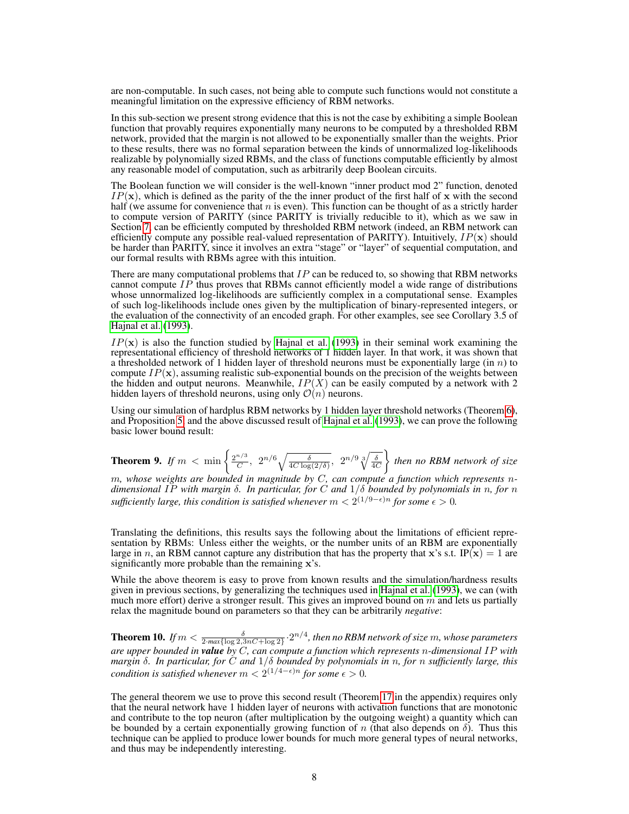are non-computable. In such cases, not being able to compute such functions would not constitute a meaningful limitation on the expressive efficiency of RBM networks.

In this sub-section we present strong evidence that this is not the case by exhibiting a simple Boolean function that provably requires exponentially many neurons to be computed by a thresholded RBM network, provided that the margin is not allowed to be exponentially smaller than the weights. Prior to these results, there was no formal separation between the kinds of unnormalized log-likelihoods realizable by polynomially sized RBMs, and the class of functions computable efficiently by almost any reasonable model of computation, such as arbitrarily deep Boolean circuits.

The Boolean function we will consider is the well-known "inner product mod 2" function, denoted  $IP(x)$ , which is defined as the parity of the the inner product of the first half of x with the second half (we assume for convenience that  $n$  is even). This function can be thought of as a strictly harder to compute version of PARITY (since PARITY is trivially reducible to it), which as we saw in Section [7,](#page-5-1) can be efficiently computed by thresholded RBM network (indeed, an RBM network can efficiently compute any possible real-valued representation of PARITY). Intuitively,  $IP(\mathbf{x})$  should be harder than PARITY, since it involves an extra "stage" or "layer" of sequential computation, and our formal results with RBMs agree with this intuition.

There are many computational problems that  $IP$  can be reduced to, so showing that RBM networks cannot compute  $IP$  thus proves that RBMs cannot efficiently model a wide range of distributions whose unnormalized log-likelihoods are sufficiently complex in a computational sense. Examples of such log-likelihoods include ones given by the multiplication of binary-represented integers, or the evaluation of the connectivity of an encoded graph. For other examples, see see Corollary 3.5 of [Hajnal et al.](#page-8-12) [\(1993\)](#page-8-12).

 $IP(x)$  is also the function studied by [Hajnal et al.](#page-8-12) [\(1993\)](#page-8-12) in their seminal work examining the representational efficiency of threshold networks of 1 hidden layer. In that work, it was shown that a thresholded network of 1 hidden layer of threshold neurons must be exponentially large (in  $n$ ) to compute  $IP(\mathbf{x})$ , assuming realistic sub-exponential bounds on the precision of the weights between the hidden and output neurons. Meanwhile,  $IP(X)$  can be easily computed by a network with 2 hidden layers of threshold neurons, using only  $\mathcal{O}(n)$  neurons.

Using our simulation of hardplus RBM networks by 1 hidden layer threshold networks (Theorem [6\)](#page-5-5), and Proposition [5,](#page-4-2) and the above discussed result of [Hajnal et al.](#page-8-12) [\(1993\)](#page-8-12), we can prove the following basic lower bound result:

<span id="page-7-0"></span>**Theorem 9.** If  $m < \min \left\{ \frac{2^{n/3}}{C} \right\}$  $\frac{1}{C}$ ,  $2^{n/6}\sqrt{\frac{\delta}{4C\log(2/\delta)}}$ ,  $2^{n/9}\sqrt[3]{\frac{\delta}{4C}}$ *then no RBM network of size*

m*, whose weights are bounded in magnitude by* C*, can compute a function which represents* n*dimensional* IP *with margin* δ*. In particular, for* C *and* 1/δ *bounded by polynomials in* n*, for* n  $\mathit{suffix}$  large, this condition is satisfied whenever  $m < 2^{(1/9 - \epsilon)n}$  for some  $\epsilon > 0$ .

Translating the definitions, this results says the following about the limitations of efficient representation by RBMs: Unless either the weights, or the number units of an RBM are exponentially large in n, an RBM cannot capture any distribution that has the property that x's s.t. IP(x) = 1 are significantly more probable than the remaining x's.

While the above theorem is easy to prove from known results and the simulation/hardness results given in previous sections, by generalizing the techniques used in [Hajnal et al.](#page-8-12) [\(1993\)](#page-8-12), we can (with much more effort) derive a stronger result. This gives an improved bound on  $m$  and lets us partially relax the magnitude bound on parameters so that they can be arbitrarily *negative*:

<span id="page-7-1"></span>**Theorem 10.** If  $m < \frac{\delta}{2 \cdot max\{\log 2, 3nC + \log 2\}} \cdot 2^{n/4}$ , then no RBM network of size  $m$ , whose parameters *are upper bounded in value by* C*, can compute a function which represents* n*-dimensional* IP *with margin* δ*. In particular, for* C *and* 1/δ *bounded by polynomials in* n*, for* n *sufficiently large, this condition is satisfied whenever*  $m < 2^{(1/4 - \epsilon)n}$  *for some*  $\epsilon > 0$ *.* 

The general theorem we use to prove this second result (Theorem [17](#page-19-0) in the appendix) requires only that the neural network have 1 hidden layer of neurons with activation functions that are monotonic and contribute to the top neuron (after multiplication by the outgoing weight) a quantity which can be bounded by a certain exponentially growing function of n (that also depends on  $\delta$ ). Thus this technique can be applied to produce lower bounds for much more general types of neural networks, and thus may be independently interesting.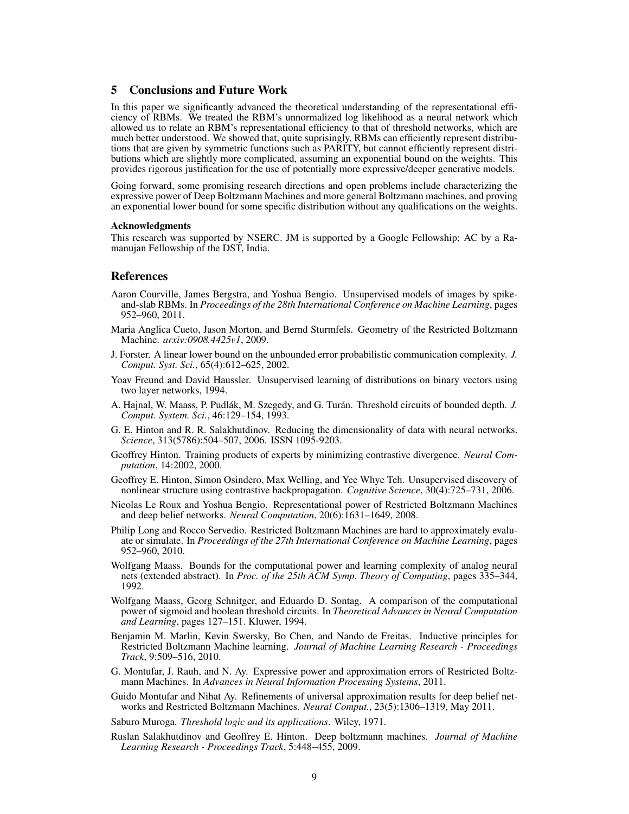# 5 Conclusions and Future Work

In this paper we significantly advanced the theoretical understanding of the representational efficiency of RBMs. We treated the RBM's unnormalized log likelihood as a neural network which allowed us to relate an RBM's representational efficiency to that of threshold networks, which are much better understood. We showed that, quite suprisingly, RBMs can efficiently represent distributions that are given by symmetric functions such as PARITY, but cannot efficiently represent distributions which are slightly more complicated, assuming an exponential bound on the weights. This provides rigorous justification for the use of potentially more expressive/deeper generative models.

Going forward, some promising research directions and open problems include characterizing the expressive power of Deep Boltzmann Machines and more general Boltzmann machines, and proving an exponential lower bound for some specific distribution without any qualifications on the weights.

#### Acknowledgments

This research was supported by NSERC. JM is supported by a Google Fellowship; AC by a Ramanujan Fellowship of the DST, India.

# References

- <span id="page-8-2"></span>Aaron Courville, James Bergstra, and Yoshua Bengio. Unsupervised models of images by spikeand-slab RBMs. In *Proceedings of the 28th International Conference on Machine Learning*, pages 952–960, 2011.
- <span id="page-8-9"></span>Maria Anglica Cueto, Jason Morton, and Bernd Sturmfels. Geometry of the Restricted Boltzmann Machine. *arxiv:0908.4425v1*, 2009.
- <span id="page-8-15"></span>J. Forster. A linear lower bound on the unbounded error probabilistic communication complexity. *J. Comput. Syst. Sci.*, 65(4):612–625, 2002.
- <span id="page-8-5"></span>Yoav Freund and David Haussler. Unsupervised learning of distributions on binary vectors using two layer networks, 1994.
- <span id="page-8-12"></span>A. Hajnal, W. Maass, P. Pudlák, M. Szegedy, and G. Turán. Threshold circuits of bounded depth. J. *Comput. System. Sci.*, 46:129–154, 1993.
- <span id="page-8-4"></span>G. E. Hinton and R. R. Salakhutdinov. Reducing the dimensionality of data with neural networks. *Science*, 313(5786):504–507, 2006. ISSN 1095-9203.
- <span id="page-8-1"></span>Geoffrey Hinton. Training products of experts by minimizing contrastive divergence. *Neural Computation*, 14:2002, 2000.
- <span id="page-8-14"></span>Geoffrey E. Hinton, Simon Osindero, Max Welling, and Yee Whye Teh. Unsupervised discovery of nonlinear structure using contrastive backpropagation. *Cognitive Science*, 30(4):725–731, 2006.
- <span id="page-8-6"></span>Nicolas Le Roux and Yoshua Bengio. Representational power of Restricted Boltzmann Machines and deep belief networks. *Neural Computation*, 20(6):1631–1649, 2008.
- <span id="page-8-0"></span>Philip Long and Rocco Servedio. Restricted Boltzmann Machines are hard to approximately evaluate or simulate. In *Proceedings of the 27th International Conference on Machine Learning*, pages 952–960, 2010.
- <span id="page-8-10"></span>Wolfgang Maass. Bounds for the computational power and learning complexity of analog neural nets (extended abstract). In *Proc. of the 25th ACM Symp. Theory of Computing*, pages 335–344, 1992.
- <span id="page-8-11"></span>Wolfgang Maass, Georg Schnitger, and Eduardo D. Sontag. A comparison of the computational power of sigmoid and boolean threshold circuits. In *Theoretical Advances in Neural Computation and Learning*, pages 127–151. Kluwer, 1994.
- <span id="page-8-3"></span>Benjamin M. Marlin, Kevin Swersky, Bo Chen, and Nando de Freitas. Inductive principles for Restricted Boltzmann Machine learning. *Journal of Machine Learning Research - Proceedings Track*, 9:509–516, 2010.
- <span id="page-8-8"></span>G. Montufar, J. Rauh, and N. Ay. Expressive power and approximation errors of Restricted Boltzmann Machines. In *Advances in Neural Information Processing Systems*, 2011.
- <span id="page-8-7"></span>Guido Montufar and Nihat Ay. Refinements of universal approximation results for deep belief networks and Restricted Boltzmann Machines. *Neural Comput.*, 23(5):1306–1319, May 2011.
- <span id="page-8-16"></span>Saburo Muroga. *Threshold logic and its applications*. Wiley, 1971.
- <span id="page-8-13"></span>Ruslan Salakhutdinov and Geoffrey E. Hinton. Deep boltzmann machines. *Journal of Machine Learning Research - Proceedings Track*, 5:448–455, 2009.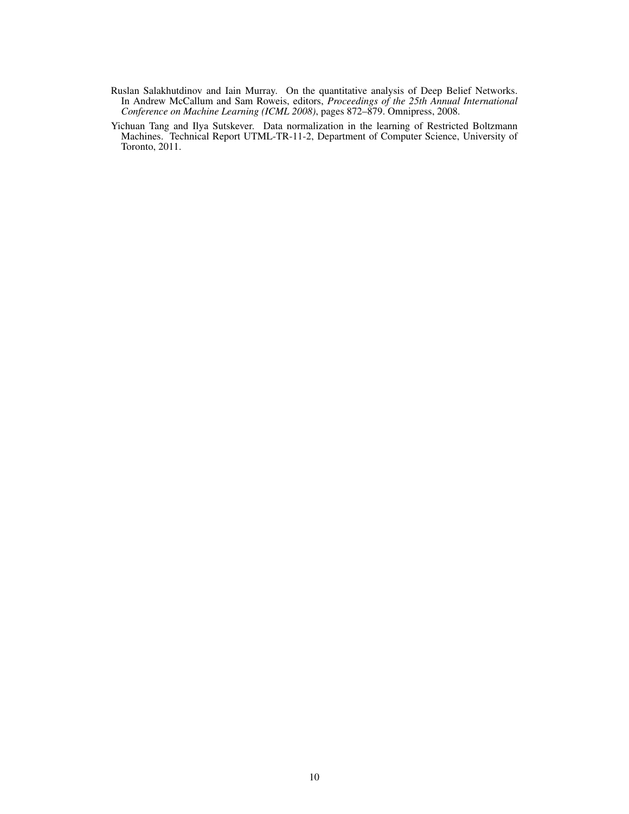- <span id="page-9-0"></span>Ruslan Salakhutdinov and Iain Murray. On the quantitative analysis of Deep Belief Networks. In Andrew McCallum and Sam Roweis, editors, *Proceedings of the 25th Annual International Conference on Machine Learning (ICML 2008)*, pages 872–879. Omnipress, 2008.
- <span id="page-9-1"></span>Yichuan Tang and Ilya Sutskever. Data normalization in the learning of Restricted Boltzmann Machines. Technical Report UTML-TR-11-2, Department of Computer Science, University of Toronto, 2011.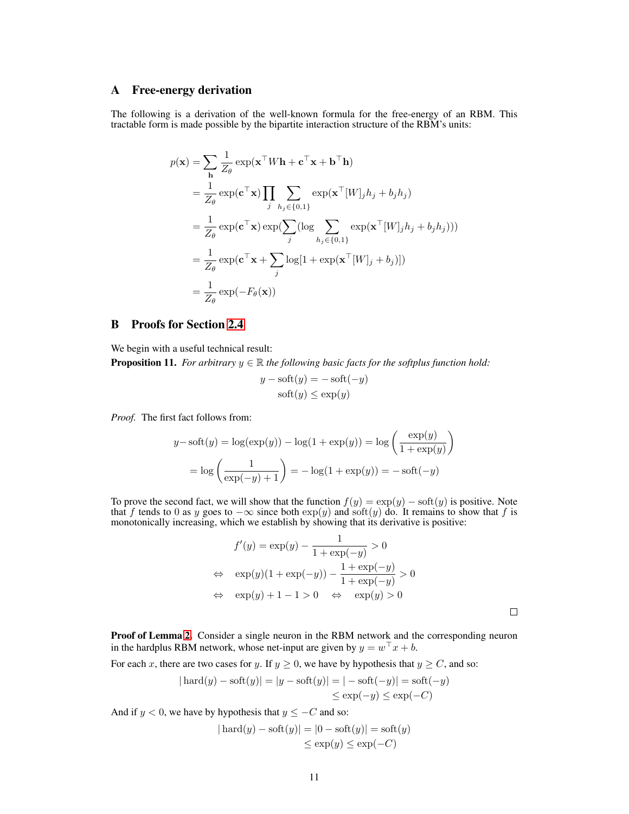# <span id="page-10-0"></span>A Free-energy derivation

The following is a derivation of the well-known formula for the free-energy of an RBM. This tractable form is made possible by the bipartite interaction structure of the RBM's units:

$$
p(\mathbf{x}) = \sum_{\mathbf{h}} \frac{1}{Z_{\theta}} \exp(\mathbf{x}^{\top} W \mathbf{h} + \mathbf{c}^{\top} \mathbf{x} + \mathbf{b}^{\top} \mathbf{h})
$$
  
\n
$$
= \frac{1}{Z_{\theta}} \exp(\mathbf{c}^{\top} \mathbf{x}) \prod_{j} \sum_{h_{j} \in \{0,1\}} \exp(\mathbf{x}^{\top} [W]_{j} h_{j} + b_{j} h_{j})
$$
  
\n
$$
= \frac{1}{Z_{\theta}} \exp(\mathbf{c}^{\top} \mathbf{x}) \exp(\sum_{j} (\log \sum_{h_{j} \in \{0,1\}} \exp(\mathbf{x}^{\top} [W]_{j} h_{j} + b_{j} h_{j})))
$$
  
\n
$$
= \frac{1}{Z_{\theta}} \exp(\mathbf{c}^{\top} \mathbf{x} + \sum_{j} \log[1 + \exp(\mathbf{x}^{\top} [W]_{j} + b_{j})])
$$
  
\n
$$
= \frac{1}{Z_{\theta}} \exp(-F_{\theta}(\mathbf{x}))
$$

# B Proofs for Section [2.4](#page-3-1)

We begin with a useful technical result:

<span id="page-10-1"></span>**Proposition 11.** *For arbitrary*  $y \in \mathbb{R}$  *the following basic facts for the softplus function hold:* 

$$
y - \text{soft}(y) = -\text{soft}(-y)
$$

$$
\text{soft}(y) \le \exp(y)
$$

*Proof.* The first fact follows from:

$$
y - \operatorname{soft}(y) = \log(\exp(y)) - \log(1 + \exp(y)) = \log\left(\frac{\exp(y)}{1 + \exp(y)}\right)
$$

$$
= \log\left(\frac{1}{\exp(-y) + 1}\right) = -\log(1 + \exp(y)) = -\operatorname{soft}(-y)
$$

To prove the second fact, we will show that the function  $f(y) = \exp(y) - \operatorname{soft}(y)$  is positive. Note that f tends to 0 as y goes to  $-\infty$  since both  $\exp(y)$  and soft $(y)$  do. It remains to show that f is monotonically increasing, which we establish by showing that its derivative is positive:

$$
f'(y) = \exp(y) - \frac{1}{1 + \exp(-y)} > 0
$$
  
\n
$$
\Leftrightarrow \exp(y)(1 + \exp(-y)) - \frac{1 + \exp(-y)}{1 + \exp(-y)} > 0
$$
  
\n
$$
\Leftrightarrow \exp(y) + 1 - 1 > 0 \Leftrightarrow \exp(y) > 0
$$

Proof of Lemma [2.](#page-3-2) Consider a single neuron in the RBM network and the corresponding neuron in the hardplus RBM network, whose net-input are given by  $y = w^{\top} x + b$ .

For each x, there are two cases for y. If  $y \ge 0$ , we have by hypothesis that  $y \ge C$ , and so:

$$
|\operatorname{hard}(y) - \operatorname{soft}(y)| = |y - \operatorname{soft}(y)| = |- \operatorname{soft}(-y)| = \operatorname{soft}(-y)
$$
  

$$
\le \exp(-y) \le \exp(-C)
$$

And if  $y < 0$ , we have by hypothesis that  $y \leq -C$  and so:

$$
|\operatorname{hard}(y) - \operatorname{soft}(y)| = |0 - \operatorname{soft}(y)| = \operatorname{soft}(y)
$$
  

$$
\le \exp(y) \le \exp(-C)
$$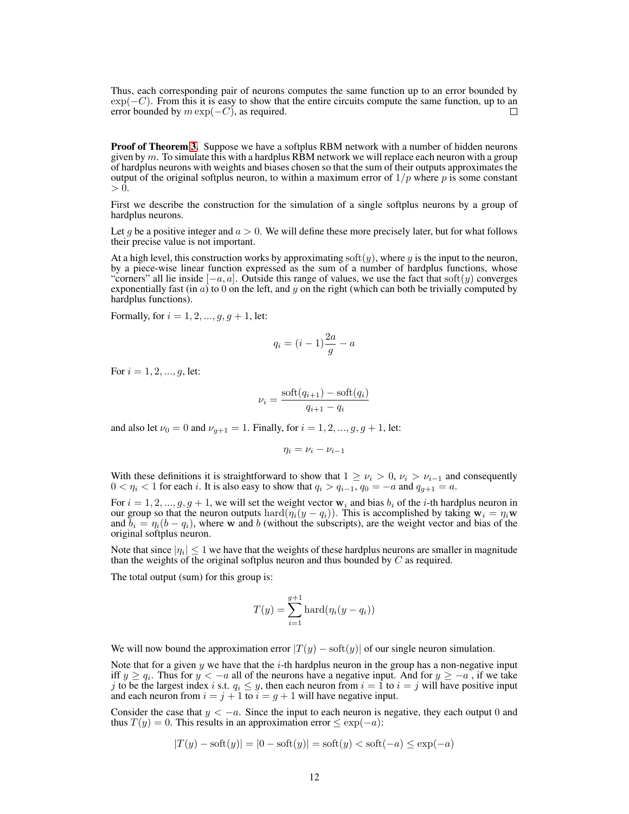Thus, each corresponding pair of neurons computes the same function up to an error bounded by  $\exp(-C)$ . From this it is easy to show that the entire circuits compute the same function, up to an error bounded by  $m \exp(-C)$ , as required. error bounded by  $m \exp(-C)$ , as required.

**Proof of Theorem [3.](#page-3-0)** Suppose we have a softplus RBM network with a number of hidden neurons given by  $m$ . To simulate this with a hardplus RBM network we will replace each neuron with a group of hardplus neurons with weights and biases chosen so that the sum of their outputs approximates the output of the original softplus neuron, to within a maximum error of  $1/p$  where p is some constant  $> 0$ .

First we describe the construction for the simulation of a single softplus neurons by a group of hardplus neurons.

Let g be a positive integer and  $a > 0$ . We will define these more precisely later, but for what follows their precise value is not important.

At a high level, this construction works by approximating soft(y), where y is the input to the neuron, by a piece-wise linear function expressed as the sum of a number of hardplus functions, whose "corners" all lie inside  $[-a, a]$ . Outside this range of values, we use the fact that soft $(y)$  converges exponentially fast (in  $\alpha$ ) to 0 on the left, and y on the right (which can both be trivially computed by hardplus functions).

Formally, for  $i = 1, 2, ..., g, g + 1$ , let:

$$
q_i = (i-1)\frac{2a}{g} - a
$$

For  $i = 1, 2, ..., q$ , let:

$$
\nu_i = \frac{\text{soft}(q_{i+1}) - \text{soft}(q_i)}{q_{i+1} - q_i}
$$

and also let  $\nu_0 = 0$  and  $\nu_{q+1} = 1$ . Finally, for  $i = 1, 2, ..., g, g + 1$ , let:

$$
\eta_i = \nu_i - \nu_{i-1}
$$

With these definitions it is straightforward to show that  $1 \geq \nu_i > 0$ ,  $\nu_i > \nu_{i-1}$  and consequently  $0 < \eta_i < 1$  for each *i*. It is also easy to show that  $q_i > q_{i-1}$ ,  $q_0 = -a$  and  $q_{g+1} = a$ .

For  $i = 1, 2, ..., g, g + 1$ , we will set the weight vector  $w_i$  and bias  $b_i$  of the *i*-th hardplus neuron in our group so that the neuron outputs hard $(\eta_i(y - q_i))$ . This is accomplished by taking  $w_i = \eta_i w$ and  $b_i = \eta_i (b - q_i)$ , where w and b (without the subscripts), are the weight vector and bias of the original softplus neuron.

Note that since  $|\eta_i| \leq 1$  we have that the weights of these hardplus neurons are smaller in magnitude than the weights of the original softplus neuron and thus bounded by  $C$  as required.

The total output (sum) for this group is:

$$
T(y) = \sum_{i=1}^{g+1} \text{hard}(\eta_i(y - q_i))
$$

We will now bound the approximation error  $|T(y) - \text{soft}(y)|$  of our single neuron simulation.

Note that for a given y we have that the  $i$ -th hardplus neuron in the group has a non-negative input iff  $y \ge q_i$ . Thus for  $y < -a$  all of the neurons have a negative input. And for  $y \ge -a$ , if we take j to be the largest index i s.t.  $q_i \leq y$ , then each neuron from  $i = 1$  to  $i = j$  will have positive input and each neuron from  $i = j + 1$  to  $i = g + 1$  will have negative input.

Consider the case that  $y < -a$ . Since the input to each neuron is negative, they each output 0 and thus  $T(y) = 0$ . This results in an approximation error  $\leq \exp(-a)$ :

$$
|T(y) - \text{soft}(y)| = |0 - \text{soft}(y)| = \text{soft}(y) < \text{soft}(-a) \le \exp(-a)
$$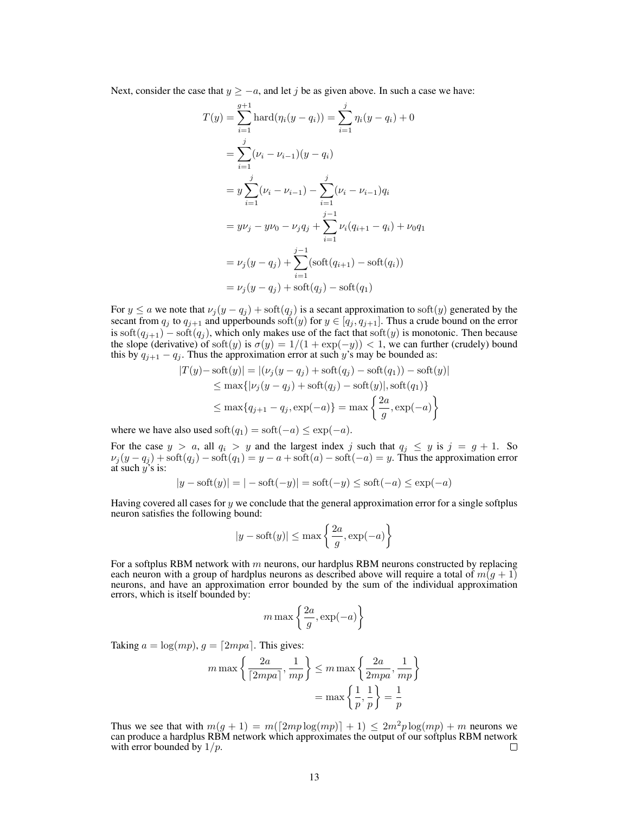Next, consider the case that  $y \ge -a$ , and let j be as given above. In such a case we have:

$$
T(y) = \sum_{i=1}^{g+1} \text{hard}(\eta_i(y - q_i)) = \sum_{i=1}^{j} \eta_i(y - q_i) + 0
$$
  
= 
$$
\sum_{i=1}^{j} (\nu_i - \nu_{i-1})(y - q_i)
$$
  
= 
$$
y \sum_{i=1}^{j} (\nu_i - \nu_{i-1}) - \sum_{i=1}^{j} (\nu_i - \nu_{i-1})q_i
$$
  
= 
$$
y\nu_j - y\nu_0 - \nu_j q_j + \sum_{i=1}^{j-1} \nu_i (q_{i+1} - q_i) + \nu_0 q_1
$$
  
= 
$$
\nu_j (y - q_j) + \sum_{i=1}^{j-1} (\text{soft}(q_{i+1}) - \text{soft}(q_i))
$$
  
= 
$$
\nu_j (y - q_j) + \text{soft}(q_j) - \text{soft}(q_1)
$$

For  $y \le a$  we note that  $\nu_j(y - q_j) + \text{soft}(q_j)$  is a secant approximation to soft $(y)$  generated by the secant from  $q_j$  to  $q_{j+1}$  and upperbounds soft $(y)$  for  $y \in [q_j, q_{j+1}]$ . Thus a crude bound on the error is soft $(q_{j+1})$  – soft $(q_j)$ , which only makes use of the fact that soft $(y)$  is monotonic. Then because the slope (derivative) of soft $(y)$  is  $\sigma(y) = 1/(1 + \exp(-y)) < 1$ , we can further (crudely) bound this by  $q_{j+1} - q_j$ . Thus the approximation error at such y's may be bounded as:

$$
|T(y) - \text{soft}(y)| = |(\nu_j(y - q_j) + \text{soft}(q_j) - \text{soft}(q_1)) - \text{soft}(y)|
$$
  
\n
$$
\leq \max\{|\nu_j(y - q_j) + \text{soft}(q_j) - \text{soft}(y)|, \text{soft}(q_1)\}\
$$
  
\n
$$
\leq \max\{q_{j+1} - q_j, \exp(-a)\} = \max\left\{\frac{2a}{g}, \exp(-a)\right\}
$$

where we have also used soft $(q_1) = \text{soft}(-a) \leq \exp(-a)$ .

For the case  $y > a$ , all  $q_i > y$  and the largest index j such that  $q_i \leq y$  is  $j = g + 1$ . So  $\nu_j(y-q_j) + \text{soft}(q_j) - \text{soft}(q_1) = y - a + \text{soft}(a) - \text{soft}(-a) = y$ . Thus the approximation error at such  $y$ 's is:

$$
|y - \text{soft}(y)| = |- \text{soft}(-y)| = \text{soft}(-y) \le \text{soft}(-a) \le \exp(-a)
$$

Having covered all cases for  $y$  we conclude that the general approximation error for a single softplus neuron satisfies the following bound:

$$
|y - \text{soft}(y)| \le \max\left\{\frac{2a}{g}, \exp(-a)\right\}
$$

For a softplus RBM network with  $m$  neurons, our hardplus RBM neurons constructed by replacing each neuron with a group of hardplus neurons as described above will require a total of  $m(q + 1)$ neurons, and have an approximation error bounded by the sum of the individual approximation errors, which is itself bounded by:

$$
m \max \left\{ \frac{2a}{g}, \exp(-a) \right\}
$$

Taking  $a = \log(mp), g = \lceil 2mpa \rceil$ . This gives:

$$
m \max \left\{ \frac{2a}{\lceil 2mpa \rceil}, \frac{1}{mp} \right\} \le m \max \left\{ \frac{2a}{2mpa}, \frac{1}{mp} \right\}
$$

$$
= \max \left\{ \frac{1}{p}, \frac{1}{p} \right\} = \frac{1}{p}
$$

Thus we see that with  $m(q + 1) = m(\lceil 2mp \log(mp) \rceil + 1) \leq 2m^2p \log(mp) + m$  neurons we can produce a hardplus RBM network which approximates the output of our softplus RBM network with error bounded by  $1/p$ .  $\Box$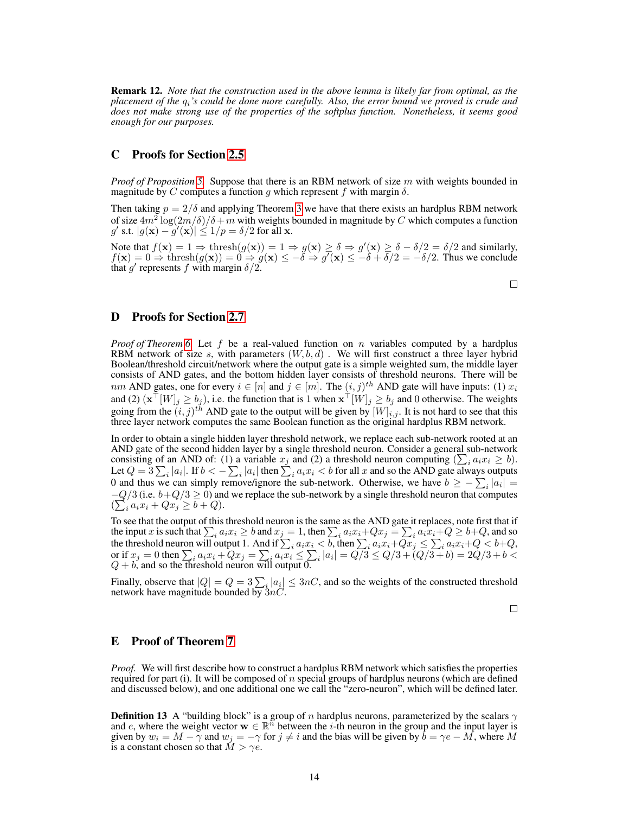Remark 12. *Note that the construction used in the above lemma is likely far from optimal, as the placement of the* qi*'s could be done more carefully. Also, the error bound we proved is crude and does not make strong use of the properties of the softplus function. Nonetheless, it seems good enough for our purposes.*

# C Proofs for Section [2.5](#page-3-3)

*Proof of Proposition [5.](#page-4-2)* Suppose that there is an RBM network of size m with weights bounded in magnitude by C computes a function g which represent f with margin  $\delta$ .

Then taking  $p = 2/\delta$  and applying Theorem [3](#page-3-0) we have that there exists an hardplus RBM network of size  $4m^2 \log(2m/\delta)/\delta + m$  with weights bounded in magnitude by C which computes a function g' s.t.  $|g(\mathbf{x}) - g'(\mathbf{x})| \leq 1/p = \delta/2$  for all x.

Note that  $f(\mathbf{x}) = 1 \Rightarrow \text{thresh}(g(\mathbf{x})) = 1 \Rightarrow g(\mathbf{x}) \ge \delta \Rightarrow g'(\mathbf{x}) \ge \delta - \delta/2 = \delta/2$  and similarly,  $f(\mathbf{x}) = 0 \Rightarrow \text{thresh}(g(\mathbf{x})) = 0 \Rightarrow g(\mathbf{x}) \le -\tilde{\delta} \Rightarrow g'(\mathbf{x}) \le -\tilde{\delta} + \overline{\delta}/2 = -\delta/2$ . Thus we conclude that g' represents f with margin  $\delta/2$ .

 $\Box$ 

# D Proofs for Section [2.7](#page-5-6)

*Proof of Theorem [6.](#page-5-5)* Let f be a real-valued function on n variables computed by a hardplus RBM network of size s, with parameters  $(W, b, d)$ . We will first construct a three layer hybrid Boolean/threshold circuit/network where the output gate is a simple weighted sum, the middle layer consists of AND gates, and the bottom hidden layer consists of threshold neurons. There will be nm AND gates, one for every  $i \in [n]$  and  $j \in [m]$ . The  $(i, j)^{th}$  AND gate will have inputs: (1)  $x_i$ and (2)  $(\mathbf{x}^\top [W]_j \ge b_j)$ , i.e. the function that is 1 when  $\mathbf{x}^\top [W]_j \ge b_j$  and 0 otherwise. The weights going from the  $(i, j)^{th}$  AND gate to the output will be given by  $[W]_{i,j}$ . It is not hard to see that this three layer network computes the same Boolean function as the original hardplus RBM network.

In order to obtain a single hidden layer threshold network, we replace each sub-network rooted at an AND gate of the second hidden layer by a single threshold neuron. Consider a general sub-network consisting of an AND of: (1) a variable  $x_j$  and (2) a threshold neuron computing  $(\sum_i a_i x_i \ge b)$ . Let  $Q=3\sum_i |a_i|.$  If  $b<-\sum_i |a_i|$  then  $\sum_i a_i x_i < b$  for all  $x$  and so the AND gate always outputs 0 and thus we can simply remove/ignore the sub-network. Otherwise, we have  $b \ge -\sum_i |a_i| =$  $-Q/3$  (i.e.  $b+Q/3 \ge 0$ ) and we replace the sub-network by a single threshold neuron that computes  $\left(\sum_{i} a_i x_i + Qx_j \geq b + Q\right).$ 

To see that the output of this threshold neuron is the same as the AND gate it replaces, note first that if the input x is such that  $\sum_i a_i x_i \geq b$  and  $x_j = 1$ , then  $\sum_i a_i x_i + Qx_j = \sum_i a_i \overline{x_i} + Q \geq b + Q$ , and so the threshold neuron will output 1. And if  $\sum_i a_i x_i < b$ , then  $\sum_i a_i x_i + Qx_j \le \sum_i a_i x_i + Q < b + Q$ , or if  $x_j = 0$  then  $\sum_i a_i x_i + Qx_j = \sum_i a_i x_i \le \sum_i |a_i| = Q/3 \le Q/3 + (Q/3 + b) = 2Q/3 + b <$  $Q + b$ , and so the threshold neuron will output 0.

Finally, observe that  $|Q| = Q = 3 \sum_{i} |a_i| \leq 3nC$ , and so the weights of the constructed threshold network have magnitude bounded by  $3nC$ .

 $\Box$ 

# E Proof of Theorem [7](#page-5-1)

*Proof.* We will first describe how to construct a hardplus RBM network which satisfies the properties required for part (i). It will be composed of  $n$  special groups of hardplus neurons (which are defined and discussed below), and one additional one we call the "zero-neuron", which will be defined later.

**Definition 13** A "building block" is a group of n hardplus neurons, parameterized by the scalars  $\gamma$ and e, where the weight vector  $\mathbf{w} \in \mathbb{R}^n$  between the i-th neuron in the group and the input layer is given by  $w_i = M - \gamma$  and  $w_j = -\gamma$  for  $j \neq i$  and the bias will be given by  $\bar{b} = \gamma e - \bar{M}$ , where M is a constant chosen so that  $\tilde{M} > \gamma e$ .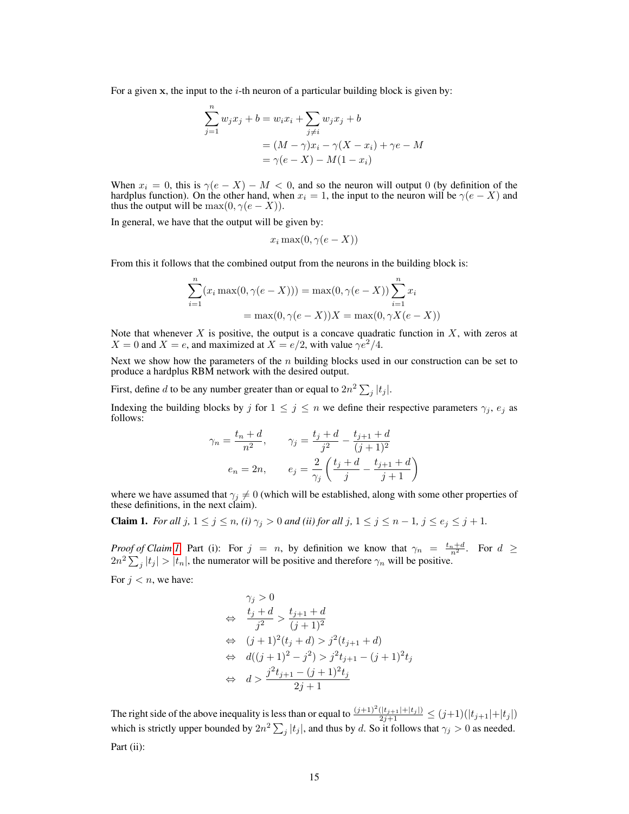For a given  $x$ , the input to the *i*-th neuron of a particular building block is given by:

$$
\sum_{j=1}^{n} w_j x_j + b = w_i x_i + \sum_{j \neq i} w_j x_j + b
$$

$$
= (M - \gamma)x_i - \gamma(X - x_i) + \gamma e - M
$$

$$
= \gamma(e - X) - M(1 - x_i)
$$

When  $x_i = 0$ , this is  $\gamma(e - X) - M < 0$ , and so the neuron will output 0 (by definition of the hardplus function). On the other hand, when  $x_i = 1$ , the input to the neuron will be  $\gamma(e - X)$  and thus the output will be  $\max(0, \gamma(e - X)).$ 

In general, we have that the output will be given by:

$$
x_i \max(0, \gamma(e - X))
$$

From this it follows that the combined output from the neurons in the building block is:

$$
\sum_{i=1}^{n} (x_i \max(0, \gamma(e - X))) = \max(0, \gamma(e - X)) \sum_{i=1}^{n} x_i
$$
  
=  $\max(0, \gamma(e - X))X = \max(0, \gamma X(e - X))$ 

Note that whenever  $X$  is positive, the output is a concave quadratic function in  $X$ , with zeros at  $X = 0$  and  $X = e$ , and maximized at  $X = e/2$ , with value  $\gamma e^2/4$ .

Next we show how the parameters of the  $n$  building blocks used in our construction can be set to produce a hardplus RBM network with the desired output.

First, define d to be any number greater than or equal to  $2n^2 \sum_j |t_j|$ .

Indexing the building blocks by j for  $1 \le j \le n$  we define their respective parameters  $\gamma_i$ ,  $e_i$  as follows:

$$
\gamma_n = \frac{t_n + d}{n^2}, \qquad \gamma_j = \frac{t_j + d}{j^2} - \frac{t_{j+1} + d}{(j+1)^2}
$$

$$
e_n = 2n, \qquad e_j = \frac{2}{\gamma_j} \left( \frac{t_j + d}{j} - \frac{t_{j+1} + d}{j+1} \right)
$$

where we have assumed that  $\gamma_j \neq 0$  (which will be established, along with some other properties of these definitions, in the next claim).

<span id="page-14-0"></span>**Claim 1.** *For all*  $j$ ,  $1 \leq j \leq n$ ,  $(i)$   $\gamma_j > 0$  *and*  $(ii)$  *for all*  $j$ ,  $1 \leq j \leq n-1$ ,  $j \leq e_j \leq j+1$ .

*Proof of Claim [1.](#page-14-0)* Part (i): For  $j = n$ , by definition we know that  $\gamma_n = \frac{t_n + d}{n^2}$ . For  $d \ge$  $2n^2 \sum_j |t_j| > |t_n|$ , the numerator will be positive and therefore  $\gamma_n$  will be positive. For  $j < n$ , we have:

$$
\gamma_j > 0
$$
\n
$$
\Leftrightarrow \frac{t_j + d}{j^2} > \frac{t_{j+1} + d}{(j+1)^2}
$$
\n
$$
\Leftrightarrow (j+1)^2(t_j + d) > j^2(t_{j+1} + d)
$$
\n
$$
\Leftrightarrow d((j+1)^2 - j^2) > j^2t_{j+1} - (j+1)^2t_j
$$
\n
$$
\Leftrightarrow d > \frac{j^2t_{j+1} - (j+1)^2t_j}{2j+1}
$$

The right side of the above inequality is less than or equal to  $\frac{(j+1)^2(|t_{j+1}|+|t_j|)}{2j+1} \le (j+1)(|t_{j+1}|+|t_j|)$ which is strictly upper bounded by  $2n^2 \sum_j |t_j|$ , and thus by d. So it follows that  $\gamma_j > 0$  as needed. Part (ii):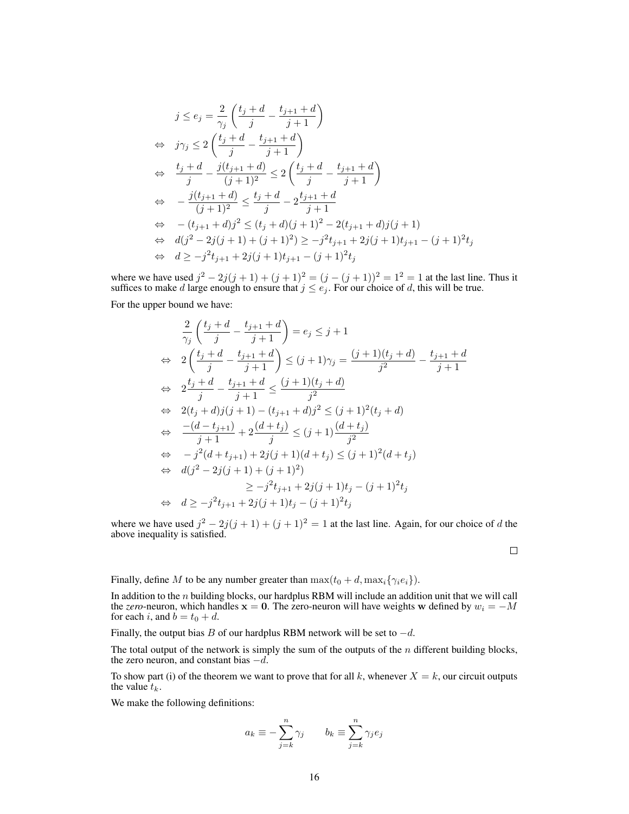$$
j \le e_j = \frac{2}{\gamma_j} \left( \frac{t_j + d}{j} - \frac{t_{j+1} + d}{j+1} \right)
$$
  
\n
$$
\Rightarrow j\gamma_j \le 2 \left( \frac{t_j + d}{j} - \frac{t_{j+1} + d}{j+1} \right)
$$
  
\n
$$
\Rightarrow \frac{t_j + d}{j} - \frac{j(t_{j+1} + d)}{(j+1)^2} \le 2 \left( \frac{t_j + d}{j} - \frac{t_{j+1} + d}{j+1} \right)
$$
  
\n
$$
\Rightarrow -\frac{j(t_{j+1} + d)}{(j+1)^2} \le \frac{t_j + d}{j} - 2\frac{t_{j+1} + d}{j+1}
$$
  
\n
$$
\Rightarrow -(t_{j+1} + d_j)^2 \le (t_j + d)(j+1)^2 - 2(t_{j+1} + d_j)(j+1)
$$
  
\n
$$
\Rightarrow d(j^2 - 2j(j+1) + (j+1)^2) \ge -j^2 t_{j+1} + 2j(j+1)t_{j+1} - (j+1)^2 t_j
$$
  
\n
$$
\Rightarrow d \ge -j^2 t_{j+1} + 2j(j+1)t_{j+1} - (j+1)^2 t_j
$$

where we have used  $j^2 - 2j(j + 1) + (j + 1)^2 = (j - (j + 1))^2 = 1^2 = 1$  at the last line. Thus it suffices to make d large enough to ensure that  $j \leq e_j$ . For our choice of d, this will be true.

For the upper bound we have:

$$
\frac{2}{\gamma_j} \left( \frac{t_j + d}{j} - \frac{t_{j+1} + d}{j+1} \right) = e_j \le j+1
$$
\n
$$
\Leftrightarrow 2 \left( \frac{t_j + d}{j} - \frac{t_{j+1} + d}{j+1} \right) \le (j+1)\gamma_j = \frac{(j+1)(t_j + d)}{j^2} - \frac{t_{j+1} + d}{j+1}
$$
\n
$$
\Leftrightarrow 2 \frac{t_j + d}{j} - \frac{t_{j+1} + d}{j+1} \le \frac{(j+1)(t_j + d)}{j^2}
$$
\n
$$
\Leftrightarrow 2(t_j + d)j(j+1) - (t_{j+1} + d)j^2 \le (j+1)^2(t_j + d)
$$
\n
$$
\Leftrightarrow \frac{-(d - t_{j+1})}{j+1} + 2\frac{(d + t_j)}{j} \le (j+1)\frac{(d + t_j)}{j^2}
$$
\n
$$
\Leftrightarrow -j^2(d + t_{j+1}) + 2j(j+1)(d + t_j) \le (j+1)^2(d + t_j)
$$
\n
$$
\Leftrightarrow d(j^2 - 2j(j+1) + (j+1)^2)
$$
\n
$$
\Leftrightarrow d \ge -j^2 t_{j+1} + 2j(j+1)t_j - (j+1)^2 t_j
$$
\n
$$
\Leftrightarrow d \ge -j^2 t_{j+1} + 2j(j+1)t_j - (j+1)^2 t_j
$$

where we have used  $j^2 - 2j(j + 1) + (j + 1)^2 = 1$  at the last line. Again, for our choice of d the above inequality is satisfied.

 $\Box$ 

Finally, define M to be any number greater than  $\max(t_0 + d, \max_i{\gamma_i e_i})$ .

In addition to the  $n$  building blocks, our hardplus RBM will include an addition unit that we will call the *zero*-neuron, which handles  $x = 0$ . The zero-neuron will have weights w defined by  $w_i = -M$ for each i, and  $b = t_0 + d$ .

Finally, the output bias B of our hardplus RBM network will be set to  $-d$ .

The total output of the network is simply the sum of the outputs of the  $n$  different building blocks, the zero neuron, and constant bias  $-d$ .

To show part (i) of the theorem we want to prove that for all k, whenever  $X = k$ , our circuit outputs the value  $t_k$ .

<span id="page-15-0"></span>We make the following definitions:

$$
a_k \equiv -\sum_{j=k}^n \gamma_j \qquad b_k \equiv \sum_{j=k}^n \gamma_j e_j
$$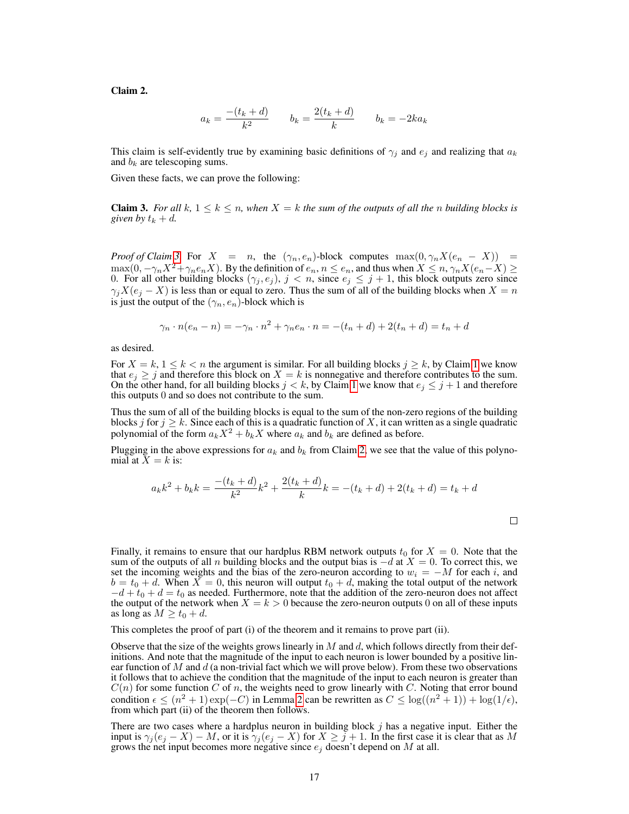Claim 2.

$$
a_k = \frac{-(t_k + d)}{k^2} \qquad b_k = \frac{2(t_k + d)}{k} \qquad b_k = -2ka_k
$$

This claim is self-evidently true by examining basic definitions of  $\gamma_j$  and  $e_j$  and realizing that  $a_k$ and  $b_k$  are telescoping sums.

<span id="page-16-0"></span>Given these facts, we can prove the following:

**Claim 3.** For all  $k, 1 \leq k \leq n$ , when  $X = k$  the sum of the outputs of all the n building blocks is *given by*  $t_k + d$ .

*Proof of Claim [3.](#page-16-0)* For  $X = n$ , the  $(\gamma_n, e_n)$ -block computes  $\max(0, \gamma_n X(e_n - X)) =$  $\max(0, -\gamma_n X^2 + \gamma_n e_n X)$ . By the definition of  $e_n, n \leq e_n$ , and thus when  $X \leq n, \gamma_n X(e_n - X) \geq$ 0. For all other building blocks  $(\gamma_j, e_j)$ ,  $j < n$ , since  $e_j \leq j + 1$ , this block outputs zero since  $\gamma_j X(e_j - X)$  is less than or equal to zero. Thus the sum of all of the building blocks when  $X = n$ is just the output of the  $(\gamma_n, e_n)$ -block which is

$$
\gamma_n \cdot n(e_n - n) = -\gamma_n \cdot n^2 + \gamma_n e_n \cdot n = -(t_n + d) + 2(t_n + d) = t_n + d
$$

as desired.

For  $X = k$ ,  $1 \le k < n$  the argument is similar. For all building blocks  $j \ge k$ , by Claim [1](#page-14-0) we know that  $e_j \geq j$  and therefore this block on  $X = k$  is nonnegative and therefore contributes to the sum. On the other hand, for all building blocks  $j < k$ , by Claim [1](#page-14-0) we know that  $e_j \leq j+1$  and therefore this outputs 0 and so does not contribute to the sum.

Thus the sum of all of the building blocks is equal to the sum of the non-zero regions of the building blocks j for  $j \geq k$ . Since each of this is a quadratic function of X, it can written as a single quadratic polynomial of the form  $a_kX^2 + b_kX$  where  $a_k$  and  $b_k$  are defined as before.

Plugging in the above expressions for  $a_k$  and  $b_k$  from Claim [2,](#page-15-0) we see that the value of this polynomial at  $X = k$  is:

$$
a_k k^2 + b_k k = \frac{-(t_k + d)}{k^2} k^2 + \frac{2(t_k + d)}{k} k = -(t_k + d) + 2(t_k + d) = t_k + d
$$

Finally, it remains to ensure that our hardplus RBM network outputs  $t_0$  for  $X = 0$ . Note that the sum of the outputs of all n building blocks and the output bias is  $-d$  at  $X = 0$ . To correct this, we set the incoming weights and the bias of the zero-neuron according to  $w_i = -M$  for each i, and  $b = t_0 + d$ . When  $X = 0$ , this neuron will output  $t_0 + d$ , making the total output of the network  $-d + t_0 + d = t_0$  as needed. Furthermore, note that the addition of the zero-neuron does not affect the output of the network when  $X = k > 0$  because the zero-neuron outputs 0 on all of these inputs as long as  $M \ge t_0 + d$ .

This completes the proof of part (i) of the theorem and it remains to prove part (ii).

Observe that the size of the weights grows linearly in  $M$  and  $d$ , which follows directly from their definitions. And note that the magnitude of the input to each neuron is lower bounded by a positive linear function of M and  $d$  (a non-trivial fact which we will prove below). From these two observations it follows that to achieve the condition that the magnitude of the input to each neuron is greater than  $C(n)$  for some function C of n, the weights need to grow linearly with C. Noting that error bound condition  $\epsilon \leq (n^2 + 1) \exp(-C)$  in Lemma [2](#page-3-2) can be rewritten as  $C \leq \log((n^2 + 1)) + \log(1/\epsilon)$ , from which part (ii) of the theorem then follows.

There are two cases where a hardplus neuron in building block  $j$  has a negative input. Either the input is  $\gamma_i(e_i - X) - M$ , or it is  $\gamma_i(e_i - X)$  for  $X \geq j + 1$ . In the first case it is clear that as M grows the net input becomes more negative since  $e_j$  doesn't depend on M at all.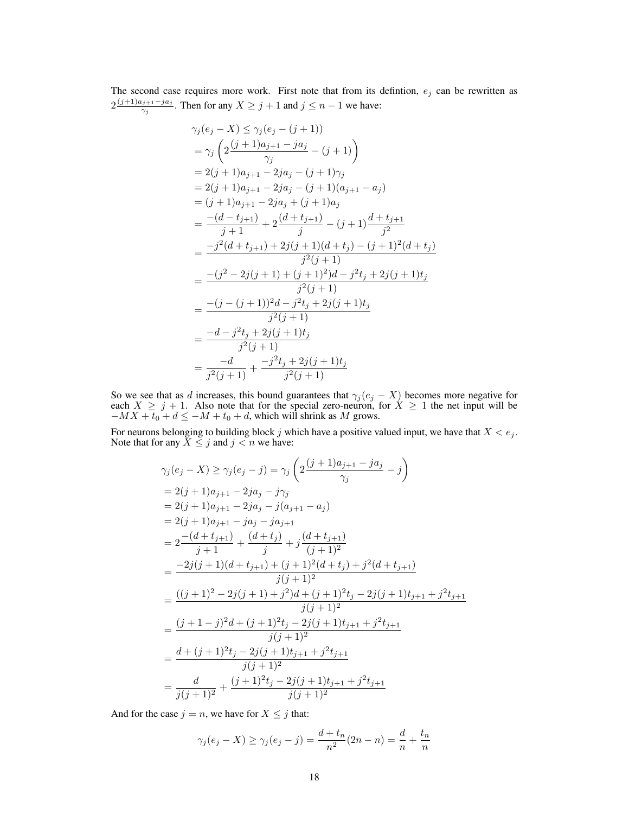The second case requires more work. First note that from its defintion,  $e_i$  can be rewritten as  $2\frac{(j+1)a_{j+1}-ja_j}{\gamma}$  $\frac{q_{j+1}-ja_j}{\gamma_j}$ . Then for any  $X \geq j+1$  and  $j \leq n-1$  we have:

$$
\gamma_j(e_j - X) \leq \gamma_j(e_j - (j+1))
$$
\n
$$
= \gamma_j \left( 2 \frac{(j+1)a_{j+1} - ja_j}{\gamma_j} - (j+1) \right)
$$
\n
$$
= 2(j+1)a_{j+1} - 2ja_j - (j+1)\gamma_j
$$
\n
$$
= 2(j+1)a_{j+1} - 2ja_j - (j+1)(a_{j+1} - a_j)
$$
\n
$$
= (j+1)a_{j+1} - 2ja_j + (j+1)a_j
$$
\n
$$
= \frac{-(d-t_{j+1})}{j+1} + 2 \frac{(d+t_{j+1})}{j} - (j+1) \frac{d+t_{j+1}}{j^2}
$$
\n
$$
= \frac{-j^2(d+t_{j+1}) + 2j(j+1)(d+t_j) - (j+1)^2(d+t_j)}{j^2(j+1)}
$$
\n
$$
= \frac{-(j^2 - 2j(j+1) + (j+1)^2)d - j^2t_j + 2j(j+1)t_j}{j^2(j+1)}
$$
\n
$$
= \frac{-(j - (j+1))^2d - j^2t_j + 2j(j+1)t_j}{j^2(j+1)}
$$
\n
$$
= \frac{-d - j^2t_j + 2j(j+1)t_j}{j^2(j+1)}
$$
\n
$$
= \frac{-d}{j^2(j+1)} + \frac{-j^2t_j + 2j(j+1)t_j}{j^2(j+1)}
$$

So we see that as d increases, this bound guarantees that  $\gamma_j (e_j - X)$  becomes more negative for each  $X \geq j + 1$ . Also note that for the special zero-neuron, for  $X \geq 1$  the net input will be  $-MX + t_0 + d \le -M + t_0 + d$ , which will shrink as M grows.

For neurons belonging to building block j which have a positive valued input, we have that  $X < e_j$ . Note that for any  $\bar{X} \leq j$  and  $j < n$  we have:

$$
\gamma_j(e_j - X) \ge \gamma_j(e_j - j) = \gamma_j \left( 2 \frac{(j+1)a_{j+1} - ja_j}{\gamma_j} - j \right)
$$
  
\n
$$
= 2(j+1)a_{j+1} - 2ja_j - j\gamma_j
$$
  
\n
$$
= 2(j+1)a_{j+1} - 2ja_j - j(a_{j+1} - a_j)
$$
  
\n
$$
= 2(j+1)a_{j+1} - ja_j - ja_{j+1}
$$
  
\n
$$
= 2 \frac{-(d+t_{j+1})}{j+1} + \frac{(d+t_j)}{j} + j \frac{(d+t_{j+1})}{(j+1)^2}
$$
  
\n
$$
= \frac{-2j(j+1)(d+t_{j+1}) + (j+1)^2(d+t_j) + j^2(d+t_{j+1})}{j(j+1)^2}
$$
  
\n
$$
= \frac{((j+1)^2 - 2j(j+1) + j^2)d + (j+1)^2t_j - 2j(j+1)t_{j+1} + j^2t_{j+1}}{j(j+1)^2}
$$
  
\n
$$
= \frac{(j+1-j)^2d + (j+1)^2t_j - 2j(j+1)t_{j+1} + j^2t_{j+1}}{j(j+1)^2}
$$
  
\n
$$
= \frac{d+(j+1)^2t_j - 2j(j+1)t_{j+1} + j^2t_{j+1}}{j(j+1)^2}
$$
  
\n
$$
= \frac{d}{j(j+1)^2} + \frac{(j+1)^2t_j - 2j(j+1)t_{j+1} + j^2t_{j+1}}{j(j+1)^2}
$$

And for the case  $j = n$ , we have for  $X \leq j$  that:

$$
\gamma_j(e_j - X) \ge \gamma_j(e_j - j) = \frac{d + t_n}{n^2}(2n - n) = \frac{d}{n} + \frac{t_n}{n}
$$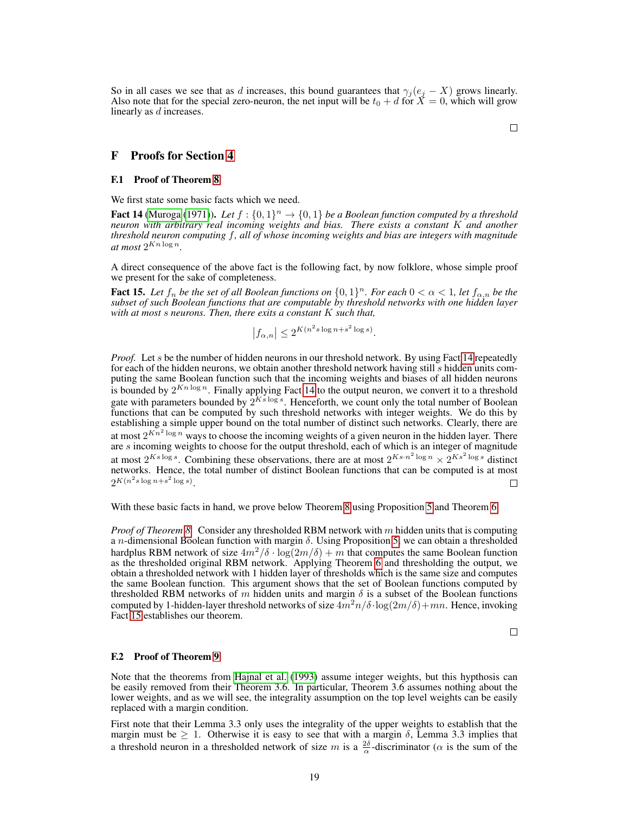So in all cases we see that as d increases, this bound guarantees that  $\gamma_j (e_j - X)$  grows linearly. Also note that for the special zero-neuron, the net input will be  $t_0 + d$  for  $\check{X} = 0$ , which will grow linearly as d increases.

F Proofs for Section [4](#page-6-0)

#### F.1 Proof of Theorem [8](#page-6-1)

We first state some basic facts which we need.

<span id="page-18-0"></span>**Fact 14** [\(Muroga](#page-8-16) [\(1971\)](#page-8-16)). Let  $f : \{0,1\}^n \to \{0,1\}$  be a Boolean function computed by a threshold *neuron with arbitrary real incoming weights and bias. There exists a constant* K *and another threshold neuron computing* f*, all of whose incoming weights and bias are integers with magnitude* at most  $2^{Kn \log n}$ .

A direct consequence of the above fact is the following fact, by now folklore, whose simple proof we present for the sake of completeness.

<span id="page-18-1"></span>**Fact 15.** Let  $f_n$  be the set of all Boolean functions on  $\{0,1\}^n$ . For each  $0 < \alpha < 1$ , let  $f_{\alpha,n}$  be the *subset of such Boolean functions that are computable by threshold networks with one hidden layer with at most* s *neurons. Then, there exits a constant* K *such that,*

$$
|f_{\alpha,n}| \le 2^{K(n^2 s \log n + s^2 \log s)}.
$$

*Proof.* Let s be the number of hidden neurons in our threshold network. By using Fact [14](#page-18-0) repeatedly for each of the hidden neurons, we obtain another threshold network having still s hidden units computing the same Boolean function such that the incoming weights and biases of all hidden neurons is bounded by  $2^{Kn \log n}$ . Finally applying Fact [14](#page-18-0) to the output neuron, we convert it to a threshold gate with parameters bounded by  $2^{Ks \log s}$ . Henceforth, we count only the total number of Boolean functions that can be computed by such threshold networks with integer weights. We do this by establishing a simple upper bound on the total number of distinct such networks. Clearly, there are at most  $2^{Kn^2 \log n}$  ways to choose the incoming weights of a given neuron in the hidden layer. There are s incoming weights to choose for the output threshold, each of which is an integer of magnitude at most  $2^{Ks \log s}$ . Combining these observations, there are at most  $2^{Ks \cdot n^2 \log n} \times 2^{Ks^2 \log s}$  distinct networks. Hence, the total number of distinct Boolean functions that can be computed is at most  $2^{K(n^2s\log n+s^2\log s)}$ . П

With these basic facts in hand, we prove below Theorem [8](#page-6-1) using Proposition [5](#page-4-2) and Theorem [6.](#page-5-5)

*Proof of Theorem [8.](#page-6-1)* Consider any thresholded RBM network with m hidden units that is computing a *n*-dimensional Boolean function with margin  $\delta$ . Using Proposition [5,](#page-4-2) we can obtain a thresholded hardplus RBM network of size  $4m^2/\delta \cdot \log(2m/\delta) + m$  that computes the same Boolean function as the thresholded original RBM network. Applying Theorem [6](#page-5-5) and thresholding the output, we obtain a thresholded network with 1 hidden layer of thresholds which is the same size and computes the same Boolean function. This argument shows that the set of Boolean functions computed by thresholded RBM networks of m hidden units and margin  $\delta$  is a subset of the Boolean functions computed by 1-hidden-layer threshold networks of size  $4m^2n/\delta \cdot \log(2m/\delta) + mn$ . Hence, invoking Fact [15](#page-18-1) establishes our theorem.

 $\Box$ 

#### F.2 Proof of Theorem [9](#page-7-0)

Note that the theorems from [Hajnal et al.](#page-8-12) [\(1993\)](#page-8-12) assume integer weights, but this hypthosis can be easily removed from their Theorem 3.6. In particular, Theorem 3.6 assumes nothing about the lower weights, and as we will see, the integrality assumption on the top level weights can be easily replaced with a margin condition.

First note that their Lemma 3.3 only uses the integrality of the upper weights to establish that the margin must be  $\geq 1$ . Otherwise it is easy to see that with a margin  $\delta$ , Lemma 3.3 implies that a threshold neuron in a thresholded network of size m is a  $\frac{2\delta}{\alpha}$ -discriminator ( $\alpha$  is the sum of the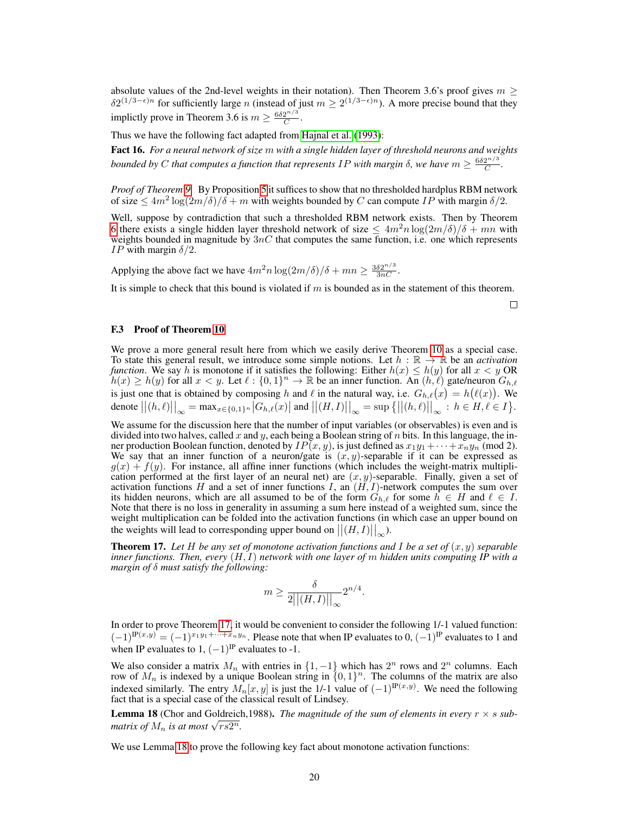absolute values of the 2nd-level weights in their notation). Then Theorem 3.6's proof gives  $m \geq$  $\delta 2^{(1/3 - \epsilon)n}$  for sufficiently large n (instead of just  $m \ge 2^{(1/3 - \epsilon)n}$ ). A more precise bound that they implictly prove in Theorem 3.6 is  $m \geq \frac{6\delta 2^{n/3}}{C}$  $\boldsymbol{C}$ .

Thus we have the following fact adapted from [Hajnal et al.](#page-8-12) [\(1993\)](#page-8-12):

Fact 16. *For a neural network of size* m *with a single hidden layer of threshold neurons and weights bounded by* C that computes a function that represents IP with margin  $\delta$ , we have  $m \geq \frac{6\delta 2^{n/3}}{C}$  $\frac{2^{n/3}}{C}$ .

*Proof of Theorem [9.](#page-7-0)* By Proposition [5](#page-4-2) it suffices to show that no thresholded hardplus RBM network of size  $\leq 4m^2 \log(2m/\delta)/\delta + m$  with weights bounded by C can compute IP with margin  $\delta/2$ .

Well, suppose by contradiction that such a thresholded RBM network exists. Then by Theorem [6](#page-5-5) there exists a single hidden layer threshold network of size  $\leq 4m^2n \log(2m/\delta)/\delta + mn$  with weights bounded in magnitude by  $3nC$  that computes the same function, i.e. one which represents IP with margin  $\delta/2$ .

Applying the above fact we have  $4m^2n \log(2m/\delta)/\delta + mn \ge \frac{3\delta 2^{n/3}}{3nC}$ .

It is simple to check that this bound is violated if  $m$  is bounded as in the statement of this theorem.

 $\Box$ 

#### F.3 Proof of Theorem [10](#page-7-1)

We prove a more general result here from which we easily derive Theorem [10](#page-7-1) as a special case. To state this general result, we introduce some simple notions. Let  $h : \mathbb{R} \to \mathbb{R}$  be an *activation function*. We say h is monotone if it satisfies the following: Either  $h(x) \leq h(y)$  for all  $x < y$  OR  $h(x) \ge h(y)$  for all  $x < y$ . Let  $\ell : \{0,1\}^n \to \mathbb{R}$  be an inner function. An  $(h, \ell)$  gate/neuron  $G_{h, \ell}$ is just one that is obtained by composing h and  $\ell$  in the natural way, i.e.  $G_{h,\ell}(x) = h(\ell(x))$ . We denote  $||(h,\ell)||_{\infty} = \max_{x \in \{0,1\}^n} |G_{h,\ell}(x)|$  and  $||(H,I)||_{\infty} = \sup \{||(h,\ell)||_{\infty} : h \in H, \ell \in I\}$ .

We assume for the discussion here that the number of input variables (or observables) is even and is divided into two halves, called x and y, each being a Boolean string of n bits. In this language, the inner production Boolean function, denoted by  $IP(x, y)$ , is just defined as  $x_1y_1 + \cdots + x_ny_n$  (mod 2). We say that an inner function of a neuron/gate is  $(x, y)$ -separable if it can be expressed as  $g(x) + f(y)$ . For instance, all affine inner functions (which includes the weight-matrix multiplication performed at the first layer of an neural net) are  $(x, y)$ -separable. Finally, given a set of activation functions H and a set of inner functions I, an  $(H, I)$ -network computes the sum over its hidden neurons, which are all assumed to be of the form  $G_{h,\ell}$  for some  $h \in H$  and  $\ell \in I$ . Note that there is no loss in generality in assuming a sum here instead of a weighted sum, since the weight multiplication can be folded into the activation functions (in which case an upper bound on the weights will lead to corresponding upper bound on  $\left\| (H, I) \right\|_{\infty}$ ).

<span id="page-19-0"></span>**Theorem 17.** Let H be any set of monotone activation functions and I be a set of  $(x, y)$  separable *inner functions. Then, every* (H, I) *network with one layer of* m *hidden units computing IP with a margin of* δ *must satisfy the following:*

$$
m \ge \frac{\delta}{2||(H, I)||_{\infty}} 2^{n/4}.
$$

In order to prove Theorem [17,](#page-19-0) it would be convenient to consider the following 1/-1 valued function:  $(-1)^{\text{IP}(x,y)} = (-1)^{x_1y_1 + \dots + x_ny_n}$ . Please note that when IP evaluates to 0,  $(-1)^{\text{IP}}$  evaluates to 1 and when IP evaluates to 1,  $(-1)^{IP}$  evaluates to -1.

We also consider a matrix  $M_n$  with entries in  $\{1, -1\}$  which has  $2^n$  rows and  $2^n$  columns. Each row of  $M_n$  is indexed by a unique Boolean string in  $\{0,1\}^n$ . The columns of the matrix are also indexed similarly. The entry  $M_n[x, y]$  is just the 1/-1 value of  $(-1)^{P(x, y)}$ . We need the following fact that is a special case of the classical result of Lindsey.

<span id="page-19-1"></span>**Lemma 18** (Chor and Goldreich, 1988). *The magnitude of the sum of elements in every*  $r \times s$  *submatrix of*  $M_n$  *is at most*  $\sqrt{rs2^n}$ .

<span id="page-19-2"></span>We use Lemma [18](#page-19-1) to prove the following key fact about monotone activation functions: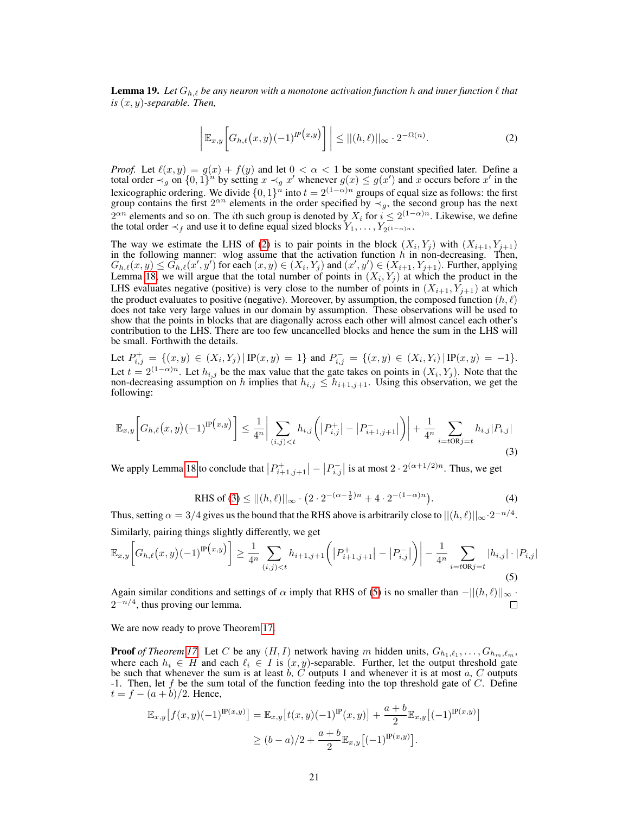**Lemma 19.** Let  $G_{h,\ell}$  be any neuron with a monotone activation function h and inner function  $\ell$  that *is* (x, y)*-separable. Then,*

<span id="page-20-0"></span>
$$
\left| \mathbb{E}_{x,y} \left[ G_{h,\ell} \big( x,y \big)(-1)^{I\!P \big( x,y \big)} \right] \right| \le ||(h,\ell)||_{\infty} \cdot 2^{-\Omega(n)}.\tag{2}
$$

*Proof.* Let  $\ell(x, y) = g(x) + f(y)$  and let  $0 < \alpha < 1$  be some constant specified later. Define a total order  $\prec_g$  on  $\{0,1\}$ <sup>h</sup> by setting  $x \prec_g x'$  whenever  $g(x) \le g(x')$  and x occurs before x' in the lexicographic ordering. We divide  $\{0, 1\}^n$  into  $t = 2^{(1-\alpha)n}$  groups of equal size as follows: the first group contains the first  $2^{\alpha n}$  elements in the order specified by  $\prec_g$ , the second group has the next  $2^{\alpha n}$  elements and so on. The *i*th such group is denoted by  $X_i$  for  $i \leq 2^{(1-\alpha)n}$ . Likewise, we define the total order  $\prec_f$  and use it to define equal sized blocks  $Y_1, \ldots, Y_{2^{(1-\alpha)n}}$ .

The way we estimate the LHS of [\(2\)](#page-20-0) is to pair points in the block  $(X_i, Y_j)$  with  $(X_{i+1}, Y_{j+1})$ in the following manner: wlog assume that the activation function h in non-decreasing. Then,  $G_{h,\ell}(x,y) \leq G_{h,\ell}(x',y')$  for each  $(x,y) \in (X_i,Y_j)$  and  $(x',y') \in (X_{i+1},Y_{j+1})$ . Further, applying Lemma [18,](#page-19-1) we will argue that the total number of points in  $(X_i, Y_j)$  at which the product in the LHS evaluates negative (positive) is very close to the number of points in  $(X_{i+1}, Y_{i+1})$  at which the product evaluates to positive (negative). Moreover, by assumption, the composed function  $(h, \ell)$ does not take very large values in our domain by assumption. These observations will be used to show that the points in blocks that are diagonally across each other will almost cancel each other's contribution to the LHS. There are too few uncancelled blocks and hence the sum in the LHS will be small. Forthwith the details.

Let  $P_{i,j}^+ = \{(x,y) \in (X_i,Y_j) | \mathbb{P}(x,y) = 1\}$  and  $P_{i,j}^- = \{(x,y) \in (X_i,Y_i) | \mathbb{P}(x,y) = -1\}.$ Let  $t = 2^{(1-\alpha)n}$ . Let  $h_{i,j}$  be the max value that the gate takes on points in  $(X_i, Y_j)$ . Note that the non-decreasing assumption on h implies that  $h_{i,j} \leq h_{i+1,j+1}$ . Using this observation, we get the following:

$$
\mathbb{E}_{x,y}\bigg[G_{h,\ell}(x,y)(-1)^{\mathrm{IP}(x,y)}\bigg] \leq \frac{1}{4^n} \bigg| \sum_{(i,j) < t} h_{i,j}\bigg( \big| P_{i,j}^+ \big| - \big| P_{i+1,j+1}^- \big| \bigg) \bigg| + \frac{1}{4^n} \sum_{i=t \text{OR} j = t} h_{i,j} | P_{i,j} | \tag{3}
$$

We apply Lemma [18](#page-19-1) to conclude that  $|P_{i+1,j+1}^+| - |P_{i,j}^-|$  is at most  $2 \cdot 2^{(\alpha+1/2)n}$ . Thus, we get

<span id="page-20-2"></span><span id="page-20-1"></span>RHS of (3) 
$$
\leq ||(h,\ell)||_{\infty} \cdot (2 \cdot 2^{-(\alpha - \frac{1}{2})n} + 4 \cdot 2^{-(1-\alpha)n}).
$$
 (4)

Thus, setting  $\alpha = 3/4$  gives us the bound that the RHS above is arbitrarily close to  $||(h, \ell)||_{\infty} \cdot 2^{-n/4}$ . Similarly, pairing things slightly differently, we get

$$
\mathbb{E}_{x,y}\bigg[G_{h,\ell}(x,y)(-1)^{\mathrm{IP}(x,y)}\bigg] \ge \frac{1}{4^n} \sum_{(i,j) < t} h_{i+1,j+1}\bigg(\big|P_{i+1,j+1}^+\big| - \big|P_{i,j}^-\big|\bigg)\bigg| - \frac{1}{4^n} \sum_{i=t \text{OR}j = t} |h_{i,j}| \cdot |P_{i,j}|\tag{5}
$$

Again similar conditions and settings of  $\alpha$  imply that RHS of [\(5\)](#page-20-2) is no smaller than  $-||(h, \ell)||_{\infty}$ .  $2^{-n/4}$ , thus proving our lemma.  $\Box$ 

We are now ready to prove Theorem [17.](#page-19-0)

**Proof** of Theorem [17.](#page-19-0) Let C be any  $(H, I)$  network having m hidden units,  $G_{h_1,\ell_1}, \ldots, G_{h_m,\ell_m}$ , where each  $h_i \in H$  and each  $\ell_i \in I$  is  $(x, y)$ -separable. Further, let the output threshold gate be such that whenever the sum is at least  $\hat{b}$ ,  $\hat{C}$  outputs 1 and whenever it is at most  $a$ ,  $C$  outputs -1. Then, let  $f$  be the sum total of the function feeding into the top threshold gate of  $C$ . Define  $t = f - (a + b)/2$ . Hence,

$$
\mathbb{E}_{x,y}[f(x,y)(-1)^{\mathbb{P}(x,y)}] = \mathbb{E}_{x,y}[t(x,y)(-1)^{\mathbb{P}}(x,y)] + \frac{a+b}{2} \mathbb{E}_{x,y}[(-1)^{\mathbb{P}(x,y)}]
$$
  
\n
$$
\ge (b-a)/2 + \frac{a+b}{2} \mathbb{E}_{x,y}[(-1)^{\mathbb{P}(x,y)}].
$$